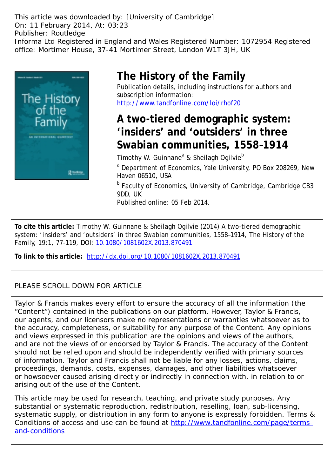This article was downloaded by: [University of Cambridge] On: 11 February 2014, At: 03:23 Publisher: Routledge Informa Ltd Registered in England and Wales Registered Number: 1072954 Registered office: Mortimer House, 37-41 Mortimer Street, London W1T 3JH, UK



# **The History of the Family**

Publication details, including instructions for authors and subscription information: <http://www.tandfonline.com/loi/rhof20>

# **A two-tiered demographic system: 'insiders' and 'outsiders' in three Swabian communities, 1558–1914**

Timothy W. Guinnane<sup>a</sup> & Sheilagh Ogilvie<sup>b</sup>

<sup>a</sup> Department of Economics, Yale University, PO Box 208269, New Haven 06510, USA

<sup>b</sup> Faculty of Economics, University of Cambridge, Cambridge CB3 9DD, UK

Published online: 05 Feb 2014.

**To cite this article:** Timothy W. Guinnane & Sheilagh Ogilvie (2014) A two-tiered demographic system: 'insiders' and 'outsiders' in three Swabian communities, 1558–1914, The History of the Family, 19:1, 77-119, DOI: [10.1080/1081602X.2013.870491](http://www.tandfonline.com/action/showCitFormats?doi=10.1080/1081602X.2013.870491)

**To link to this article:** <http://dx.doi.org/10.1080/1081602X.2013.870491>

# PLEASE SCROLL DOWN FOR ARTICLE

Taylor & Francis makes every effort to ensure the accuracy of all the information (the "Content") contained in the publications on our platform. However, Taylor & Francis, our agents, and our licensors make no representations or warranties whatsoever as to the accuracy, completeness, or suitability for any purpose of the Content. Any opinions and views expressed in this publication are the opinions and views of the authors, and are not the views of or endorsed by Taylor & Francis. The accuracy of the Content should not be relied upon and should be independently verified with primary sources of information. Taylor and Francis shall not be liable for any losses, actions, claims, proceedings, demands, costs, expenses, damages, and other liabilities whatsoever or howsoever caused arising directly or indirectly in connection with, in relation to or arising out of the use of the Content.

This article may be used for research, teaching, and private study purposes. Any substantial or systematic reproduction, redistribution, reselling, loan, sub-licensing, systematic supply, or distribution in any form to anyone is expressly forbidden. Terms & Conditions of access and use can be found at [http://www.tandfonline.com/page/terms](http://www.tandfonline.com/page/terms-and-conditions)[and-conditions](http://www.tandfonline.com/page/terms-and-conditions)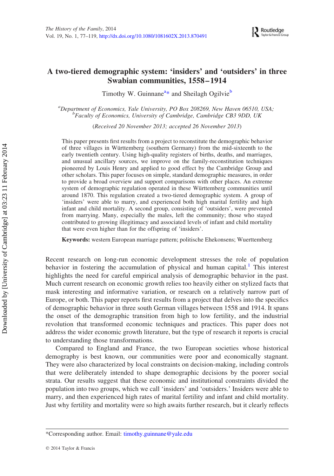# A two-tiered demographic system: 'insiders' and 'outsiders' in three Swabian communities, 1558 – 1914

Timothy W. Guinn[a](#page-1-0)ne<sup>a[\\*](#page-1-1)</sup> and Sheilagh Ogilvie<sup>[b](#page-1-0)</sup>

<span id="page-1-0"></span><sup>a</sup>Department of Economics, Yale University, PO Box 208269, New Haven 06510, USA;<br><sup>b</sup>Eaculty of Economics, University of Cambridge, Cambridge CB3, ODD, UK  ${}^{b}$ Faculty of Economics, University of Cambridge, Cambridge CB3 9DD, UK

(Received 20 November 2013; accepted 26 November 2013)

This paper presents first results from a project to reconstitute the demographic behavior of three villages in Württemberg (southern Germany) from the mid-sixteenth to the early twentieth century. Using high-quality registers of births, deaths, and marriages, and unusual ancillary sources, we improve on the family-reconstitution techniques pioneered by Louis Henry and applied to good effect by the Cambridge Group and other scholars. This paper focuses on simple, standard demographic measures, in order to provide a broad overview and support comparisons with other places. An extreme system of demographic regulation operated in these Württemberg communities until around 1870. This regulation created a two-tiered demographic system. A group of 'insiders' were able to marry, and experienced both high marital fertility and high infant and child mortality. A second group, consisting of 'outsiders', were prevented from marrying. Many, especially the males, left the community; those who stayed contributed to growing illegitimacy and associated levels of infant and child mortality that were even higher than for the offspring of 'insiders'.

Keywords: western European marriage pattern; politische Ehekonsens; Wuerttemberg

Recent research on long-run economic development stresses the role of population behavior in fostering the accumulation of physical and human capital.<sup>[1](#page-36-0)</sup> This interest highlights the need for careful empirical analysis of demographic behavior in the past. Much current research on economic growth relies too heavily either on stylized facts that mask interesting and informative variation, or research on a relatively narrow part of Europe, or both. This paper reports first results from a project that delves into the specifics of demographic behavior in three south German villages between 1558 and 1914. It spans the onset of the demographic transition from high to low fertility, and the industrial revolution that transformed economic techniques and practices. This paper does not address the wider economic growth literature, but the type of research it reports is crucial to understanding those transformations.

Compared to England and France, the two European societies whose historical demography is best known, our communities were poor and economically stagnant. They were also characterized by local constraints on decision-making, including controls that were deliberately intended to shape demographic decisions by the poorer social strata. Our results suggest that these economic and institutional constraints divided the population into two groups, which we call 'insiders' and 'outsiders.' Insiders were able to marry, and then experienced high rates of marital fertility and infant and child mortality. Just why fertility and mortality were so high awaits further research, but it clearly reflects

<span id="page-1-1"></span><sup>\*</sup>Corresponding author. Email: [timothy.guinnane@yale.edu](mailto:timothy.guinnane@yale.edu)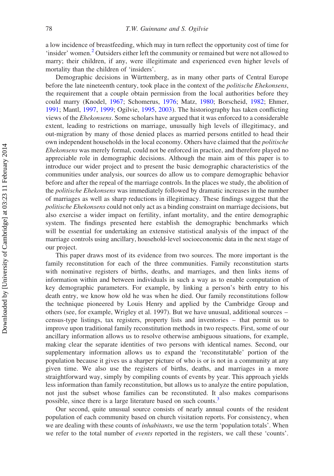a low incidence of breastfeeding, which may in turn reflect the opportunity cost of time for 'insider' women.[2](#page-36-1) Outsiders either left the community or remained but were not allowed to marry; their children, if any, were illegitimate and experienced even higher levels of mortality than the children of 'insiders'.

Demographic decisions in Württemberg, as in many other parts of Central Europe before the late nineteenth century, took place in the context of the politische Ehekonsens, the requirement that a couple obtain permission from the local authorities before they could marry (Knodel, [1967;](#page-40-0) Schomerus, [1976](#page-41-0); Matz, [1980;](#page-40-1) Borscheid, [1982;](#page-38-0) Ehmer, [1991](#page-39-0); Mantl, [1997](#page-40-2), [1999;](#page-40-3) Ogilvie, [1995,](#page-40-4) [2003\)](#page-41-1). The historiography has taken conflicting views of the Ehekonsens. Some scholars have argued that it was enforced to a considerable extent, leading to restrictions on marriage, unusually high levels of illegitimacy, and out-migration by many of those denied places as married persons entitled to head their own independent households in the local economy. Others have claimed that the *politische* Ehekonsens was merely formal, could not be enforced in practice, and therefore played no appreciable role in demographic decisions. Although the main aim of this paper is to introduce our wider project and to present the basic demographic characteristics of the communities under analysis, our sources do allow us to compare demographic behavior before and after the repeal of the marriage controls. In the places we study, the abolition of the politische Ehekonsens was immediately followed by dramatic increases in the number of marriages as well as sharp reductions in illegitimacy. These findings suggest that the politische Ehekonsens could not only act as a binding constraint on marriage decisions, but also exercise a wider impact on fertility, infant mortality, and the entire demographic system. The findings presented here establish the demographic benchmarks which will be essential for undertaking an extensive statistical analysis of the impact of the marriage controls using ancillary, household-level socioeconomic data in the next stage of our project.

This paper draws most of its evidence from two sources. The more important is the family reconstitution for each of the three communities. Family reconstitution starts with nominative registers of births, deaths, and marriages, and then links items of information within and between individuals in such a way as to enable computation of key demographic parameters. For example, by linking a person's birth entry to his death entry, we know how old he was when he died. Our family reconstitutions follow the technique pioneered by Louis Henry and applied by the Cambridge Group and others (see, for example, Wrigley et al. 1997). But we have unusual, additional sources – census-type listings, tax registers, property lists and inventories – that permit us to improve upon traditional family reconstitution methods in two respects. First, some of our ancillary information allows us to resolve otherwise ambiguous situations, for example, making clear the separate identities of two persons with identical names. Second, our supplementary information allows us to expand the 'reconstitutable' portion of the population because it gives us a sharper picture of who is or is not in a community at any given time. We also use the registers of births, deaths, and marriages in a more straightforward way, simply by compiling counts of events by year. This approach yields less information than family reconstitution, but allows us to analyze the entire population, not just the subset whose families can be reconstituted. It also makes comparisons possible, since there is a large literature based on such counts.<sup>[3](#page-36-2)</sup>

Our second, quite unusual source consists of nearly annual counts of the resident population of each community based on church visitation reports. For consistency, when we are dealing with these counts of *inhabitants*, we use the term 'population totals'. When we refer to the total number of events reported in the registers, we call these 'counts'.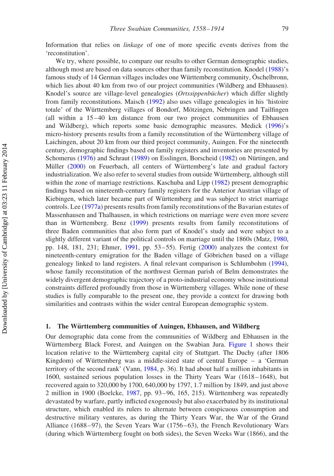Information that relies on linkage of one of more specific events derives from the 'reconstitution'.

We try, where possible, to compare our results to other German demographic studies, although most are based on data sources other than family reconstitution. Knodel [\(1988](#page-40-5))'s famous study of 14 German villages includes one Württemberg community, Oschelbronn, which lies about 40 km from two of our project communities (Wildberg and Ebhausen). Knodel's source are village-level genealogies (Ortssippenbücher) which differ slightly from family reconstitutions. Maisch ([1992\)](#page-40-6) also uses village genealogies in his 'histoire totale' of the Württemberg villages of Bondorf, Mötzingen, Nebringen and Tailfingen (all within a 15 – 40 km distance from our two project communities of Ebhausen and Wildberg), which reports some basic demographic measures. Medick [\(1996](#page-40-7))'s micro-history presents results from a family reconstitution of the Württemberg village of Laichingen, about 20 km from our third project community, Auingen. For the nineteenth century, demographic findings based on family registers and inventories are presented by Schomerus ([1976\)](#page-41-0) and Schraut ([1989\)](#page-41-2) on Esslingen, Borscheid ([1982\)](#page-38-0) on Nürtingen, and Müller ([2000\)](#page-40-8) on Feuerbach, all centers of Württemberg's late and gradual factory industrialization. We also refer to several studies from outside Württemberg, although still within the zone of marriage restrictions. Kaschuba and Lipp ([1982\)](#page-40-9) present demographic findings based on nineteenth-century family registers for the Anterior Austrian village of Kiebingen, which later became part of Württemberg and was subject to strict marriage controls. Lee [\(1977a\)](#page-40-10) presents results from family reconstitutions of the Bavarian estates of Massenhausen and Thalhausen, in which restrictions on marriage were even more severe than in Württemberg. Benz ([1999\)](#page-38-1) presents results from family reconstitutions of three Baden communities that also form part of Knodel's study and were subject to a slightly different variant of the political controls on marriage until the 1860s (Matz, [1980](#page-40-1), pp. 148, 181, 231; Ehmer, [1991,](#page-39-0) pp. 53– 55). Fertig ([2000\)](#page-39-1) analyzes the context for nineteenth-century emigration for the Baden village of Göbrichen based on a village genealogy linked to land registers. A final relevant comparison is Schlumbohm [\(1994](#page-41-3)), whose family reconstitution of the northwest German parish of Belm demonstrates the widely divergent demographic trajectory of a proto-industrial economy whose institutional constraints differed profoundly from those in Württemberg villages. While none of these studies is fully comparable to the present one, they provide a context for drawing both similarities and contrasts within the wider central European demographic system.

#### 1. The Württemberg communities of Auingen, Ebhausen, and Wildberg

Our demographic data come from the communities of Wildberg and Ebhausen in the Württemberg Black Forest, and Auingen on the Swabian Jura. [Figure 1](#page-4-0) shows their location relative to the Württemberg capital city of Stuttgart. The Duchy (after 1806) Kingdom) of Württemberg was a middle-sized state of central Europe  $-$  a 'German territory of the second rank' (Vann, [1984,](#page-42-0) p. 36). It had about half a million inhabitants in 1600, sustained serious population losses in the Thirty Years War (1618 –1648), but recovered again to 320,000 by 1700, 640,000 by 1797, 1.7 million by 1849, and just above 2 million in 1900 (Boelcke, [1987](#page-38-2), pp. 93 –96, 165, 215). Wu¨rttemberg was repeatedly devastated by warfare, partly inflicted exogenously but also exacerbated by its institutional structure, which enabled its rulers to alternate between conspicuous consumption and destructive military ventures, as during the Thirty Years War, the War of the Grand Alliance (1688–97), the Seven Years War (1756–63), the French Revolutionary Wars (during which Württemberg fought on both sides), the Seven Weeks War (1866), and the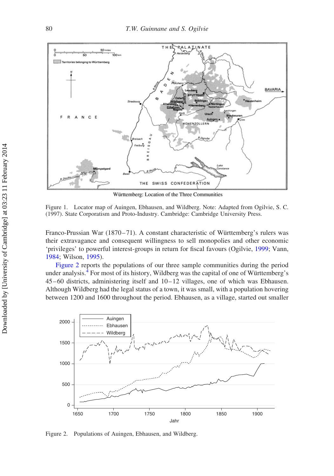<span id="page-4-0"></span>

Württemberg: Location of the Three Communities

Figure 1. Locator map of Auingen, Ebhausen, and Wildberg. Note: Adapted from Ogilvie, S. C. (1997). State Corporatism and Proto-Industry. Cambridge: Cambridge University Press.

Franco-Prussian War  $(1870-71)$ . A constant characteristic of Württemberg's rulers was their extravagance and consequent willingness to sell monopolies and other economic 'privileges' to powerful interest-groups in return for fiscal favours (Ogilvie, [1999](#page-41-4); Vann, [1984](#page-42-0); Wilson, [1995](#page-42-1)).

[Figure 2](#page-4-1) reports the populations of our three sample communities during the period under analysis.<sup>4</sup> For most of its history, Wildberg was the capital of one of Württemberg's 45 –60 districts, administering itself and 10– 12 villages, one of which was Ebhausen. Although Wildberg had the legal status of a town, it was small, with a population hovering between 1200 and 1600 throughout the period. Ebhausen, as a village, started out smaller

<span id="page-4-1"></span>

Figure 2. Populations of Auingen, Ebhausen, and Wildberg.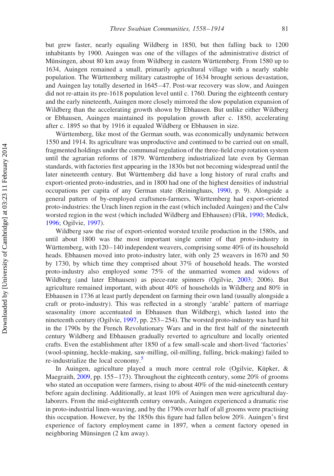but grew faster, nearly equaling Wildberg in 1850, but then falling back to 1200 inhabitants by 1900. Auingen was one of the villages of the administrative district of Münsingen, about 80 km away from Wildberg in eastern Württemberg. From 1580 up to 1634, Auingen remained a small, primarily agricultural village with a nearly stable population. The Württemberg military catastrophe of 1634 brought serious devastation, and Auingen lay totally deserted in 1645 –47. Post-war recovery was slow, and Auingen did not re-attain its pre-1618 population level until c. 1760. During the eighteenth century and the early nineteenth, Auingen more closely mirrored the slow population expansion of Wildberg than the accelerating growth shown by Ebhausen. But unlike either Wildberg or Ebhausen, Auingen maintained its population growth after c. 1850, accelerating after c. 1895 so that by 1916 it equaled Wildberg or Ebhausen in size.

Württemberg, like most of the German south, was economically undynamic between 1550 and 1914. Its agriculture was unproductive and continued to be carried out on small, fragmented holdings under the communal regulation of the three-field crop rotation system until the agrarian reforms of 1879. Württemberg industrialized late even by German standards, with factories first appearing in the 1830s but not becoming widespread until the later nineteenth century. But Württemberg did have a long history of rural crafts and export-oriented proto-industries, and in 1800 had one of the highest densities of industrial occupations per capita of any German state (Reininghaus, [1990](#page-41-5), p. 9). Alongside a general pattern of by-employed craftsmen-farmers, Württemberg had export-oriented proto-industries: the Urach linen region in the east (which included Auingen) and the Calw worsted region in the west (which included Wildberg and Ebhausen) (Flik, [1990;](#page-39-2) Medick, [1996](#page-40-7); Ogilvie, [1997\)](#page-40-11).

Wildberg saw the rise of export-oriented worsted textile production in the 1580s, and until about 1800 was the most important single center of that proto-industry in Württemberg, with  $120 - 140$  independent weavers, comprising some  $40\%$  of its household heads. Ebhausen moved into proto-industry later, with only 25 weavers in 1670 and 50 by 1730, by which time they comprised about 37% of household heads. The worsted proto-industry also employed some 75% of the unmarried women and widows of Wildberg (and later Ebhausen) as piece-rate spinners (Ogilvie, [2003](#page-41-1); 2006). But agriculture remained important, with about 40% of households in Wildberg and 80% in Ebhausen in 1736 at least partly dependent on farming their own land (usually alongside a craft or proto-industry). This was reflected in a strongly 'arable' pattern of marriage seasonality (more accentuated in Ebhausen than Wildberg), which lasted into the nineteenth century (Ogilvie, [1997,](#page-40-11) pp. 253–254). The worsted proto-industry was hard hit in the 1790s by the French Revolutionary Wars and in the first half of the nineteenth century Wildberg and Ebhausen gradually reverted to agriculture and locally oriented crafts. Even the establishment after 1850 of a few small-scale and short-lived 'factories' (wool-spinning, heckle-making, saw-milling, oil-milling, fulling, brick-making) failed to re-industrialize the local economy.<sup>[5](#page-36-4)</sup>

In Auingen, agriculture played a much more central role (Ogilvie, Küpker, & Maegraith, [2009](#page-41-6), pp. 155– 173). Throughout the eighteenth century, some 20% of grooms who stated an occupation were farmers, rising to about 40% of the mid-nineteenth century before again declining. Additionally, at least 10% of Auingen men were agricultural daylaborers. From the mid-eighteenth century onwards, Auingen experienced a dramatic rise in proto-industrial linen-weaving, and by the 1790s over half of all grooms were practising this occupation. However, by the 1850s this figure had fallen below 20%. Auingen's first experience of factory employment came in 1897, when a cement factory opened in neighboring Münsingen (2 km away).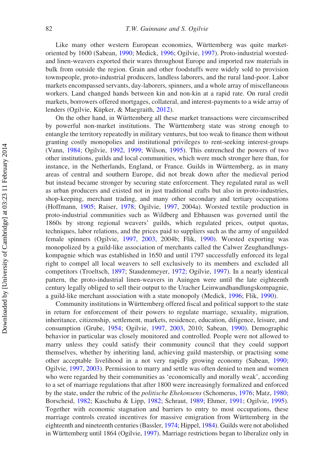Like many other western European economies, Württemberg was quite marketoriented by 1600 (Sabean, [1990](#page-41-7); Medick, [1996](#page-40-7); Ogilvie, [1997](#page-40-11)). Proto-industrial worstedand linen-weavers exported their wares throughout Europe and imported raw materials in bulk from outside the region. Grain and other foodstuffs were widely sold to provision townspeople, proto-industrial producers, landless laborers, and the rural land-poor. Labor markets encompassed servants, day-laborers, spinners, and a whole array of miscellaneous workers. Land changed hands between kin and non-kin at a rapid rate. On rural credit markets, borrowers offered mortgages, collateral, and interest-payments to a wide array of lenders (Ogilvie, Küpker, & Maegraith, [2012\)](#page-41-8).

On the other hand, in Württemberg all these market transactions were circumscribed by powerful non-market institutions. The Wu¨rttemberg state was strong enough to entangle the territory repeatedly in military ventures, but too weak to finance them without granting costly monopolies and institutional privileges to rent-seeking interest-groups (Vann, [1984;](#page-42-0) Ogilvie, [1992,](#page-40-12) [1999](#page-41-4); Wilson, [1995](#page-42-1)). This entrenched the powers of two other institutions, guilds and local communities, which were much stronger here than, for instance, in the Netherlands, England, or France. Guilds in Württemberg, as in many areas of central and southern Europe, did not break down after the medieval period but instead became stronger by securing state enforcement. They regulated rural as well as urban producers and existed not in just traditional crafts but also in proto-industries, shop-keeping, merchant trading, and many other secondary and tertiary occupations (Hoffmann, [1905](#page-39-3); Raiser, [1978;](#page-41-9) Ogilvie, [1997,](#page-40-11) 2004a). Worsted textile production in proto-industrial communities such as Wildberg and Ebhausen was governed until the 1860s by strong regional weavers' guilds, which regulated prices, output quotas, techniques, labor relations, and the prices paid to suppliers such as the army of unguilded female spinners (Ogilvie, [1997,](#page-40-11) [2003](#page-41-1), 2004b; Flik, [1990](#page-39-2)). Worsted exporting was monopolized by a guild-like association of merchants called the Calwer Zeughandlungskompagnie which was established in 1650 and until 1797 successfully enforced its legal right to compel all local weavers to sell exclusively to its members and excluded all competitors (Troeltsch, [1897;](#page-42-2) Staudenmeyer, [1972](#page-41-10); Ogilvie, [1997](#page-40-11)). In a nearly identical pattern, the proto-industrial linen-weavers in Auingen were until the late eighteenth century legally obliged to sell their output to the Uracher Leinwandhandlungskompagnie, a guild-like merchant association with a state monopoly (Medick, [1996](#page-40-7); Flik, [1990](#page-39-2)).

Community institutions in Württemberg offered fiscal and political support to the state in return for enforcement of their powers to regulate marriage, sexuality, migration, inheritance, citizenship, settlement, markets, residence, education, diligence, leisure, and consumption (Grube, [1954;](#page-39-4) Ogilvie, [1997](#page-40-11), [2003,](#page-41-1) 2010; Sabean, [1990](#page-41-7)). Demographic behavior in particular was closely monitored and controlled. People were not allowed to marry unless they could satisfy their community council that they could support themselves, whether by inheriting land, achieving guild mastership, or practising some other acceptable livelihood in a not very rapidly growing economy (Sabean, [1990](#page-41-7); Ogilvie, [1997](#page-40-11), [2003](#page-41-1)). Permission to marry and settle was often denied to men and women who were regarded by their communities as 'economically and morally weak', according to a set of marriage regulations that after 1800 were increasingly formalized and enforced by the state, under the rubric of the politische Ehekonsens (Schomerus, [1976;](#page-41-0) Matz, [1980](#page-40-1); Borscheid, [1982;](#page-38-0) Kaschuba & Lipp, [1982;](#page-40-9) Schraut, [1989;](#page-41-2) Ehmer, [1991](#page-39-0); Ogilvie, [1995](#page-40-4)). Together with economic stagnation and barriers to entry to most occupations, these marriage controls created incentives for massive emigration from Württemberg in the eighteenth and nineteenth centuries (Bassler, [1974](#page-38-3); Hippel, [1984](#page-39-5)). Guilds were not abolished in Württemberg until 1864 (Ogilvie, [1997](#page-40-11)). Marriage restrictions began to liberalize only in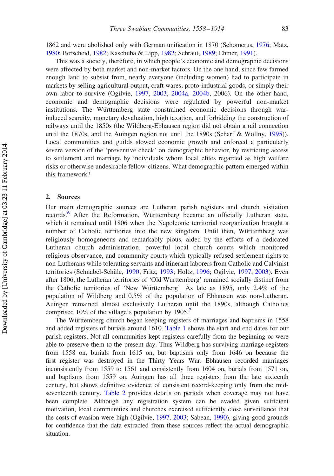1862 and were abolished only with German unification in 1870 (Schomerus, [1976](#page-41-0); Matz, [1980;](#page-40-1) Borscheid, [1982;](#page-38-0) Kaschuba & Lipp, [1982](#page-40-9); Schraut, [1989;](#page-41-2) Ehmer, [1991\)](#page-39-0).

This was a society, therefore, in which people's economic and demographic decisions were affected by both market and non-market factors. On the one hand, since few farmed enough land to subsist from, nearly everyone (including women) had to participate in markets by selling agricultural output, craft wares, proto-industrial goods, or simply their own labor to survive (Ogilvie, [1997,](#page-40-11) [2003](#page-41-1), [2004a,](#page-41-11) [2004b](#page-41-12), 2006). On the other hand, economic and demographic decisions were regulated by powerful non-market institutions. The Württemberg state constrained economic decisions through warinduced scarcity, monetary devaluation, high taxation, and forbidding the construction of railways until the 1850s (the Wildberg-Ebhausen region did not obtain a rail connection until the 1870s, and the Auingen region not until the 1890s (Scharf & Wollny, [1995\)](#page-41-13)). Local communities and guilds slowed economic growth and enforced a particularly severe version of the 'preventive check' on demographic behavior, by restricting access to settlement and marriage by individuals whom local elites regarded as high welfare risks or otherwise undesirable fellow-citizens. What demographic pattern emerged within this framework?

#### 2. Sources

Our main demographic sources are Lutheran parish registers and church visitation records.<sup>[6](#page-36-5)</sup> After the Reformation, Württemberg became an officially Lutheran state, which it remained until 1806 when the Napoleonic territorial reorganization brought a number of Catholic territories into the new kingdom. Until then, Württemberg was religiously homogeneous and remarkably pious, aided by the efforts of a dedicated Lutheran church administration, powerful local church courts which monitored religious observance, and community courts which typically refused settlement rights to non-Lutherans while tolerating servants and itinerant laborers from Catholic and Calvinist territories (Schnabel-Schüle, [1990](#page-39-0); Fritz, [1993;](#page-39-6) Holtz, [1996](#page-40-13); Ogilvie, [1997,](#page-40-11) [2003](#page-41-1)). Even after 1806, the Lutheran territories of 'Old Württemberg' remained socially distinct from the Catholic territories of 'New Wu¨rttemberg'. As late as 1895, only 2.4% of the population of Wildberg and 0.5% of the population of Ebhausen was non-Lutheran. Auingen remained almost exclusively Lutheran until the 1890s, although Catholics comprised 10% of the village's population by 1905.

The Württemberg church began keeping registers of marriages and baptisms in 1558 and added registers of burials around 1610. [Table 1](#page-8-0) shows the start and end dates for our parish registers. Not all communities kept registers carefully from the beginning or were able to preserve them to the present day. Thus Wildberg has surviving marriage registers from 1558 on, burials from 1615 on, but baptisms only from 1646 on because the first register was destroyed in the Thirty Years War. Ebhausen recorded marriages inconsistently from 1559 to 1561 and consistently from 1604 on, burials from 1571 on, and baptisms from 1559 on. Auingen has all three registers from the late sixteenth century, but shows definitive evidence of consistent record-keeping only from the midseventeenth century. [Table 2](#page-9-0) provides details on periods when coverage may not have been complete. Although any registration system can be evaded given sufficient motivation, local communities and churches exercised sufficiently close surveillance that the costs of evasion were high (Ogilvie, [1997](#page-40-11), [2003](#page-41-1); Sabean, [1990\)](#page-41-7), giving good grounds for confidence that the data extracted from these sources reflect the actual demographic situation.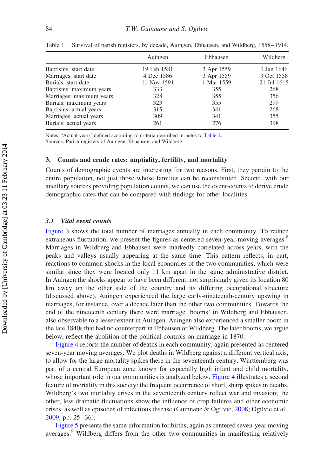|                          | Auingen     | Ebhausen   | Wildberg    |
|--------------------------|-------------|------------|-------------|
| Baptisms: start date     | 19 Feb 1581 | 3 Apr 1559 | 1 Jan 1646  |
| Marriages: start date    | 4 Dec 1586  | 3 Apr 1559 | 3 Oct 1558  |
| Burials: start date      | 11 Nov 1591 | 1 Mar 1559 | 21 Jul 1615 |
| Baptisms: maximum years  | 333         | 355        | 268         |
| Marriages: maximum years | 328         | 355        | 356         |
| Burials: maximum years   | 323         | 355        | 299         |
| Baptisms: actual years   | 315         | 341        | 268         |
| Marriages: actual years  | 309         | 341        | 355         |
| Burials: actual years    | 261         | 276        | 398         |

<span id="page-8-0"></span>Table 1. Survival of parish registers, by decade, Auingen, Ebhausen, and Wildberg, 1558– 1914.

Notes: 'Actual years' defined according to criteria described in notes to [Table 2.](#page-9-0) Sources: Parish registers of Auingen, Ebhausen, and Wildberg.

#### 3. Counts and crude rates: nuptiality, fertility, and mortality

Counts of demographic events are interesting for two reasons. First, they pertain to the entire population, not just those whose families can be reconstituted. Second, with our ancillary sources providing population counts, we can use the event-counts to derive crude demographic rates that can be compared with findings for other localities.

## 3.1 Vital event counts

[Figure 3](#page-11-0) shows the total number of marriages annually in each community. To reduce extraneous fluctuation, we present the figures as centered seven-year moving averages.<sup>[8](#page-36-7)</sup> Marriages in Wildberg and Ebhausen were markedly correlated across years, with the peaks and valleys usually appearing at the same time. This pattern reflects, in part, reactions to common shocks in the local economies of the two communities, which were similar since they were located only 11 km apart in the same administrative district. In Auingen the shocks appear to have been different, not surprisingly given its location 80 km away on the other side of the country and its differing occupational structure (discussed above). Auingen experienced the large early-nineteenth-century upswing in marriages, for instance, over a decade later than the other two communities. Towards the end of the nineteenth century there were marriage 'booms' in Wildberg and Ebhausen, also observable to a lesser extent in Auingen. Auingen also experienced a smaller boom in the late 1840s that had no counterpart in Ebhausen or Wildberg. The later booms, we argue below, reflect the abolition of the political controls on marriage in 1870.

[Figure 4](#page-11-1) reports the number of deaths in each community, again presented as centered seven-year moving averages. We plot deaths in Wildberg against a different vertical axis, to allow for the large mortality spikes there in the seventeenth century. Württemberg was part of a central European zone known for especially high infant and child mortality, whose important role in our communities is analyzed below. [Figure 4](#page-11-1) illustrates a second feature of mortality in this society: the frequent occurrence of short, sharp spikes in deaths. Wildberg's two mortality crises in the seventeenth century reflect war and invasion; the other, less dramatic fluctuations show the influence of crop failures and other economic crises, as well as episodes of infectious disease (Guinnane & Ogilvie, [2008](#page-39-7); Ogilvie et al., [2009](#page-41-6), pp.  $25-36$ ).

[Figure 5](#page-12-0) presents the same information for births, again as centered seven-year moving averages.<sup>[9](#page-36-8)</sup> Wildberg differs from the other two communities in manifesting relatively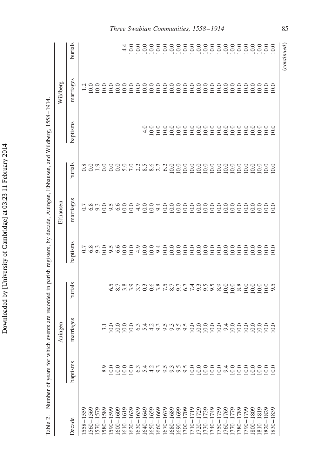<span id="page-9-0"></span>

(continued)

 $\label{eq:constrained} (continued)$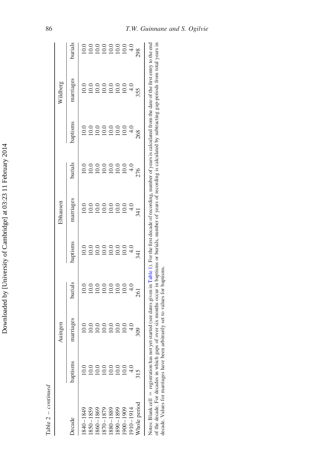|              |                     | Auingen   |         |               | Ebhausen  |                             |          | Wildberg  |                                                                         |
|--------------|---------------------|-----------|---------|---------------|-----------|-----------------------------|----------|-----------|-------------------------------------------------------------------------|
| becade       | baptisms            | marriages | burials | saptisms      | marriages | burials                     | baptisms | marriages | burials                                                                 |
| 840-1849     | 10 <sup>1</sup>     |           |         |               |           |                             |          |           |                                                                         |
| 850-1859     |                     |           |         |               |           | 0<br>000000000<br>000000000 |          |           | $\begin{array}{c} 0.00000000 \\ 0.00000000 \\ 0.0000000 \\ \end{array}$ |
| 1860-1869    | 10.0                |           |         |               |           |                             |          |           |                                                                         |
| 1870–1879    |                     |           |         |               |           |                             |          |           |                                                                         |
| 1880-1889    | $\frac{10.0}{10.0}$ |           |         |               |           |                             |          |           |                                                                         |
| 1890-1899    | 10.0                |           |         |               |           |                             |          |           |                                                                         |
| 1900-1909    | 10.0                |           |         |               |           |                             |          |           |                                                                         |
| 1910–1914    | 4.0                 |           |         |               |           |                             |          |           |                                                                         |
| Vhole period | 515                 | 309       | 261     | $\frac{1}{4}$ | 341       | 276                         |          | 355       |                                                                         |

Notes: Blank cell = registration has not yet started (see dates given in Table 1). For the first decade of recording, number of years is calculated from the date of the first entry to the end<br>of the decade. For decades in Notes: Blank cell = registration has not yet started (see dates given in [Table](#page-8-0) 1). For the first decade of recording, number of years is calculated from the date of the first entry to the end of the decade. For decades in which gaps of over six months occur in baptisms or burials, number of years of recording is calculated by subtracting gap-periods from total years in decade. Values for marriages have been arbitrarily set to values for baptisms.

Downloaded by [University of Cambridge] at 03:23 11 February 2014

Downloaded by [University of Cambridge] at 03:23 11 February 2014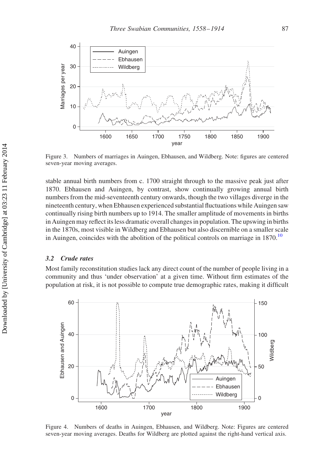<span id="page-11-0"></span>

Figure 3. Numbers of marriages in Auingen, Ebhausen, and Wildberg. Note: figures are centered seven-year moving averages.

stable annual birth numbers from c. 1700 straight through to the massive peak just after 1870. Ebhausen and Auingen, by contrast, show continually growing annual birth numbers from the mid-seventeenth century onwards, though the two villages diverge in the nineteenth century, when Ebhausen experienced substantial fluctuations while Auingen saw continually rising birth numbers up to 1914. The smaller amplitude of movements in births in Auingen may reflect its less dramatic overall changes in population. The upswing in births in the 1870s, most visible in Wildberg and Ebhausen but also discernible on a smaller scale in Auingen, coincides with the abolition of the political controls on marriage in  $1870$ .<sup>[10](#page-36-9)</sup>

# 3.2 Crude rates

<span id="page-11-1"></span>Most family reconstitution studies lack any direct count of the number of people living in a community and thus 'under observation' at a given time. Without firm estimates of the population at risk, it is not possible to compute true demographic rates, making it difficult



Figure 4. Numbers of deaths in Auingen, Ebhausen, and Wildberg. Note: Figures are centered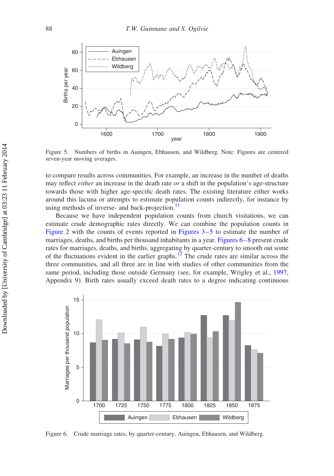<span id="page-12-0"></span>

Figure 5. Numbers of births in Auingen, Ebhausen, and Wildberg. Note: Figures are centered seven-year moving averages.

to compare results across communities. For example, an increase in the number of deaths may reflect *either* an increase in the death rate *or* a shift in the population's age-structure towards those with higher age-specific death rates. The existing literature either works around this lacuna or attempts to estimate population counts indirectly, for instance by using methods of inverse- and back-projection.<sup>[11](#page-36-10)</sup>

Because we have independent population counts from church visitations, we can estimate crude demographic rates directly. We can combine the population counts in [Figure 2](#page-4-1) with the counts of events reported in Figures 3–5 to estimate the number of marriages, deaths, and births per thousand inhabitants in a year. Figures 6–8 present crude rates for marriages, deaths, and births, aggregating by quarter-century to smooth out some of the fluctuations evident in the earlier graphs.<sup>[12](#page-36-11)</sup> The crude rates are similar across the three communities, and all three are in line with studies of other communities from the same period, including those outside Germany (see, for example, Wrigley et al., [1997](#page-42-3), Appendix 9). Birth rates usually exceed death rates to a degree indicating continuous

<span id="page-12-1"></span>

Figure 6. Crude marriage rates, by quarter-century, Auingen, Ebhausen, and Wildberg.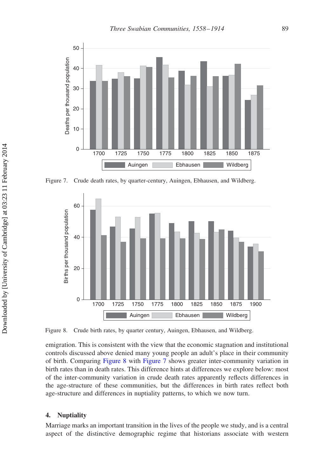<span id="page-13-1"></span>

<span id="page-13-0"></span>Figure 7. Crude death rates, by quarter-century, Auingen, Ebhausen, and Wildberg.



Figure 8. Crude birth rates, by quarter century, Auingen, Ebhausen, and Wildberg.

emigration. This is consistent with the view that the economic stagnation and institutional controls discussed above denied many young people an adult's place in their community of birth. Comparing [Figure 8](#page-13-0) with [Figure 7](#page-13-1) shows greater inter-community variation in birth rates than in death rates. This difference hints at differences we explore below: most of the inter-community variation in crude death rates apparently reflects differences in the age-structure of these communities, but the differences in birth rates reflect both age-structure and differences in nuptiality patterns, to which we now turn.

#### 4. Nuptiality

Marriage marks an important transition in the lives of the people we study, and is a central aspect of the distinctive demographic regime that historians associate with western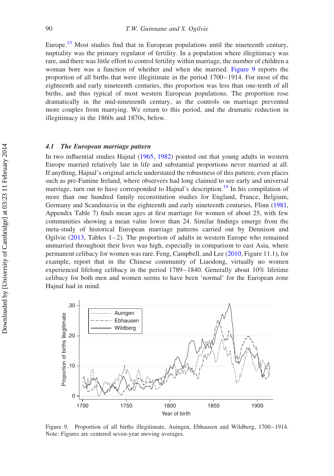Europe.<sup>[13](#page-36-12)</sup> Most studies find that in European populations until the nineteenth century, nuptiality was the primary regulator of fertility. In a population where illegitimacy was rare, and there was little effort to control fertility within marriage, the number of children a woman bore was a function of whether and when she married. [Figure 9](#page-14-0) reports the proportion of all births that were illegitimate in the period 1700 –1914. For most of the eighteenth and early nineteenth centuries, this proportion was less than one-tenth of all births, and thus typical of most western European populations. The proportion rose dramatically in the mid-nineteenth century, as the controls on marriage prevented more couples from marrying. We return to this period, and the dramatic reduction in illegitimacy in the 1860s and 1870s, below.

### 4.1 The European marriage pattern

In two influential studies Hajnal ([1965](#page-39-8), [1982](#page-39-9)) pointed out that young adults in western Europe married relatively late in life and substantial proportions never married at all. If anything, Hajnal's original article understated the robustness of this pattern; even places such as pre-Famine Ireland, where observers had long claimed to see early and universal marriage, turn out to have corresponded to Hajnal's description.<sup>[14](#page-36-13)</sup> In his compilation of more than one hundred family reconstitution studies for England, France, Belgium, Germany and Scandinavia in the eighteenth and early nineteenth centuries, Flinn [\(1981](#page-39-10), Appendix Table 7) finds mean ages at first marriage for women of about 25, with few communities showing a mean value lower than 24. Similar findings emerge from the meta-study of historical European marriage patterns carried out by Dennison and Ogilvie [\(2013](#page-39-11), Tables  $1-2$ ). The proportion of adults in western Europe who remained unmarried throughout their lives was high, especially in comparison to east Asia, where permanent celibacy for women was rare. Feng, Campbell, and Lee ([2010,](#page-39-12) Figure 11.1), for example, report that in the Chinese community of Liaodong, virtually no women experienced lifelong celibacy in the period 1789– 1840. Generally about 10% lifetime celibacy for both men and women seems to have been 'normal' for the European zone Hajnal had in mind.

<span id="page-14-0"></span>

Figure 9. Proportion of all births illegitimate, Auingen, Ebhausen and Wildberg, 1700– 1914. Note: Figures are centered seven-year moving averages.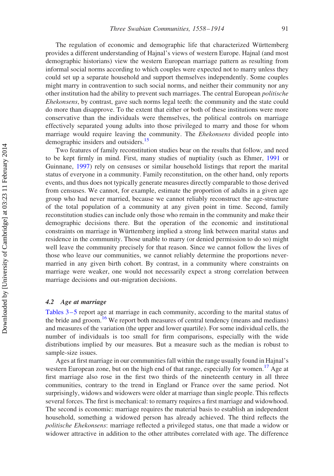The regulation of economic and demographic life that characterized Württemberg provides a different understanding of Hajnal's views of western Europe. Hajnal (and most demographic historians) view the western European marriage pattern as resulting from informal social norms according to which couples were expected not to marry unless they could set up a separate household and support themselves independently. Some couples might marry in contravention to such social norms, and neither their community nor any other institution had the ability to prevent such marriages. The central European *politische* Ehekonsens, by contrast, gave such norms legal teeth: the community and the state could do more than disapprove. To the extent that either or both of these institutions were more conservative than the individuals were themselves, the political controls on marriage effectively separated young adults into those privileged to marry and those for whom marriage would require leaving the community. The Ehekonsens divided people into demographic insiders and outsiders.<sup>[15](#page-36-14)</sup>

Two features of family reconstitution studies bear on the results that follow, and need to be kept firmly in mind. First, many studies of nuptiality (such as Ehmer, [1991](#page-39-0) or Guinnane, [1997\)](#page-39-13) rely on censuses or similar household listings that report the marital status of everyone in a community. Family reconstitution, on the other hand, only reports events, and thus does not typically generate measures directly comparable to those derived from censuses. We cannot, for example, estimate the proportion of adults in a given age group who had never married, because we cannot reliably reconstruct the age-structure of the total population of a community at any given point in time. Second, family reconstitution studies can include only those who remain in the community and make their demographic decisions there. But the operation of the economic and institutional constraints on marriage in Württemberg implied a strong link between marital status and residence in the community. Those unable to marry (or denied permission to do so) might well leave the community precisely for that reason. Since we cannot follow the lives of those who leave our communities, we cannot reliably determine the proportions nevermarried in any given birth cohort. By contrast, in a community where constraints on marriage were weaker, one would not necessarily expect a strong correlation between marriage decisions and out-migration decisions.

## 4.2 Age at marriage

Tables 3–5 report age at marriage in each community, according to the marital status of the bride and groom.<sup>[16](#page-36-15)</sup> We report both measures of central tendency (means and medians) and measures of the variation (the upper and lower quartile). For some individual cells, the number of individuals is too small for firm comparisons, especially with the wide distributions implied by our measures. But a measure such as the median is robust to sample-size issues.

Ages at first marriage in our communities fall within the range usually found in Hajnal's western European zone, but on the high end of that range, especially for women.<sup>[17](#page-37-0)</sup> Age at first marriage also rose in the first two thirds of the nineteenth century in all three communities, contrary to the trend in England or France over the same period. Not surprisingly, widows and widowers were older at marriage than single people. This reflects several forces. The first is mechanical: to remarry requires a first marriage and widowhood. The second is economic: marriage requires the material basis to establish an independent household, something a widowed person has already achieved. The third reflects the politische Ehekonsens: marriage reflected a privileged status, one that made a widow or widower attractive in addition to the other attributes correlated with age. The difference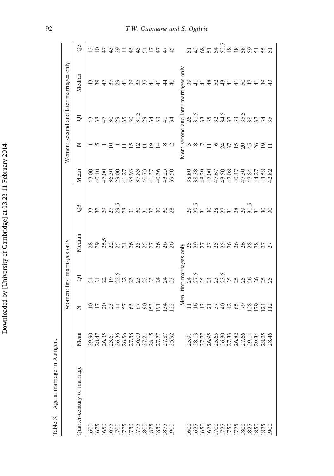| ֠<br>֕<br>i<br>ľ                                                                 |
|----------------------------------------------------------------------------------|
|                                                                                  |
| $\frac{1}{2}$<br>ı                                                               |
| ı<br>I                                                                           |
|                                                                                  |
| ī<br>י<br>֚֕֕֡<br>ׅׅׅׅׅ֧֧֧ׅ֧֧ׅ֧֧֧ׅ֧ׅ֧֧֚֚֚֚֚֚֚֚֚֚֚֚֚֚֚֚֡֡֡֡֡֡֓֡֡֡֓֡֡֡֓֡֡֬֓֡֬֓֓֓֓֓ |
|                                                                                  |
|                                                                                  |
|                                                                                  |
| ļ                                                                                |

Table 3. Age at marriage in Auingen. Table 3. Age at marriage in Auingen.

|                                                                         | I                                                                                                                       |                 | Women: first marriages only                                       |                    |                                               |                                                                                                                                                                                                                                                                                                 |                         |                             | Women: second and later marriages only |             |
|-------------------------------------------------------------------------|-------------------------------------------------------------------------------------------------------------------------|-----------------|-------------------------------------------------------------------|--------------------|-----------------------------------------------|-------------------------------------------------------------------------------------------------------------------------------------------------------------------------------------------------------------------------------------------------------------------------------------------------|-------------------------|-----------------------------|----------------------------------------|-------------|
| Quarter-century of marriage                                             | Mean                                                                                                                    | Z               | $\overline{O}$                                                    | Median             | $\infty$                                      | Mean                                                                                                                                                                                                                                                                                            | Z                       | $\overline{O}$              | Median                                 | $\infty$    |
|                                                                         |                                                                                                                         |                 |                                                                   |                    |                                               |                                                                                                                                                                                                                                                                                                 |                         |                             | $\frac{1}{2}$                          | 43          |
|                                                                         | ទ. មុ ដូ ដូ ងូ ងូ ងូ ងូ ងូ ដូ ដូ ដូ ងូ ងូ<br>ខា ង ង ដូ ងូ ងូ ងូ ងូ ងូ ដូ ដូ ដូ ងូ ងូ ងូ<br>ខា ង ង ង ង ង ង ង ង ង ង ង ង ង | $2588758689977$ | ส ส ส ค ค ค ค ส ส ส ม ค ค ส ส ส ส ส<br>ส ส ส ค ค ส ส ส ส ส ส      | ลลล์<br>สลีสสาสลีส | 322583555858888888                            |                                                                                                                                                                                                                                                                                                 |                         | awroowo ni<br>dwroowodygaud | 37                                     |             |
|                                                                         |                                                                                                                         |                 |                                                                   |                    |                                               |                                                                                                                                                                                                                                                                                                 |                         |                             |                                        |             |
|                                                                         |                                                                                                                         |                 |                                                                   |                    |                                               |                                                                                                                                                                                                                                                                                                 |                         |                             | $57$<br>$73$<br>$41$                   | 53244445554 |
|                                                                         |                                                                                                                         |                 |                                                                   |                    |                                               |                                                                                                                                                                                                                                                                                                 |                         |                             |                                        |             |
|                                                                         |                                                                                                                         |                 |                                                                   |                    |                                               |                                                                                                                                                                                                                                                                                                 |                         |                             |                                        |             |
|                                                                         |                                                                                                                         |                 |                                                                   |                    |                                               |                                                                                                                                                                                                                                                                                                 |                         |                             |                                        |             |
|                                                                         |                                                                                                                         |                 |                                                                   |                    |                                               |                                                                                                                                                                                                                                                                                                 |                         |                             |                                        |             |
|                                                                         |                                                                                                                         |                 |                                                                   | 25                 |                                               |                                                                                                                                                                                                                                                                                                 |                         |                             |                                        |             |
|                                                                         |                                                                                                                         |                 |                                                                   |                    |                                               |                                                                                                                                                                                                                                                                                                 | $\overline{\mathbf{c}}$ |                             | 2889777                                |             |
|                                                                         |                                                                                                                         |                 |                                                                   | 5888               |                                               |                                                                                                                                                                                                                                                                                                 |                         |                             |                                        |             |
|                                                                         |                                                                                                                         |                 | $\frac{4}{23}$                                                    |                    |                                               |                                                                                                                                                                                                                                                                                                 |                         |                             | 43                                     |             |
|                                                                         |                                                                                                                         |                 |                                                                   |                    |                                               | $\begin{array}{l} 0.96 \pm 0.000 \\ 0.000 \pm 0.000 \\ 0.000 \pm 0.000 \\ 0.000 \pm 0.000 \\ 0.000 \pm 0.000 \\ 0.000 \pm 0.000 \\ 0.000 \pm 0.000 \\ 0.000 \pm 0.000 \\ 0.000 \pm 0.000 \\ 0.000 \pm 0.000 \\ 0.000 \pm 0.000 \\ 0.000 \pm 0.000 \\ 0.000 \pm 0.000 \\ 0.000 \pm 0.000 \\ 0.0$ |                         |                             |                                        |             |
|                                                                         |                                                                                                                         |                 | Men: first marriages only                                         |                    |                                               |                                                                                                                                                                                                                                                                                                 | Men: second and late    |                             | t marriages only                       |             |
|                                                                         |                                                                                                                         |                 |                                                                   |                    |                                               |                                                                                                                                                                                                                                                                                                 |                         |                             |                                        |             |
|                                                                         |                                                                                                                         |                 |                                                                   |                    |                                               |                                                                                                                                                                                                                                                                                                 |                         |                             |                                        |             |
|                                                                         |                                                                                                                         |                 |                                                                   |                    |                                               |                                                                                                                                                                                                                                                                                                 |                         |                             |                                        |             |
|                                                                         |                                                                                                                         |                 |                                                                   |                    |                                               |                                                                                                                                                                                                                                                                                                 |                         |                             | $48$                                   |             |
|                                                                         |                                                                                                                         |                 |                                                                   |                    |                                               |                                                                                                                                                                                                                                                                                                 | $6\frac{6}{10}$         |                             |                                        |             |
|                                                                         |                                                                                                                         |                 |                                                                   |                    |                                               |                                                                                                                                                                                                                                                                                                 |                         |                             | 544                                    |             |
|                                                                         |                                                                                                                         |                 |                                                                   |                    |                                               |                                                                                                                                                                                                                                                                                                 |                         |                             |                                        |             |
|                                                                         |                                                                                                                         |                 |                                                                   |                    |                                               |                                                                                                                                                                                                                                                                                                 |                         |                             |                                        |             |
|                                                                         |                                                                                                                         |                 |                                                                   |                    |                                               |                                                                                                                                                                                                                                                                                                 |                         |                             |                                        |             |
| 1600<br>1625 1725<br>1725 1726 1826<br>1727 1738 1826<br>1826 1827 1830 | ភ្នាក់<br>ការដាក់ ការដាក់ ការដាក់<br>ការដាក់ ការដាក់ ការដាក់                                                            | HARRAARSARAH    | ุ ห์<br>สุทิพสุตต์หูหูหูหูหูหูหูหู<br>ผู้ผู้ผู้ผู้ผู้ผู้ผู้ผู้ผู้ | nggggggha          | ลลี สลสลี สลลี ส.ส.<br>สลีสสลี สลี สลี ส.ส.ส. |                                                                                                                                                                                                                                                                                                 | 558\$821                | si<br>Anggalang manang      | 4844                                   |             |
|                                                                         |                                                                                                                         |                 |                                                                   |                    |                                               |                                                                                                                                                                                                                                                                                                 |                         |                             |                                        |             |
|                                                                         |                                                                                                                         |                 |                                                                   |                    |                                               |                                                                                                                                                                                                                                                                                                 |                         |                             | $33 +$                                 |             |
|                                                                         |                                                                                                                         |                 |                                                                   |                    |                                               |                                                                                                                                                                                                                                                                                                 |                         |                             |                                        |             |

<span id="page-16-0"></span>

# T.W. Guinnane and S. Ogilvie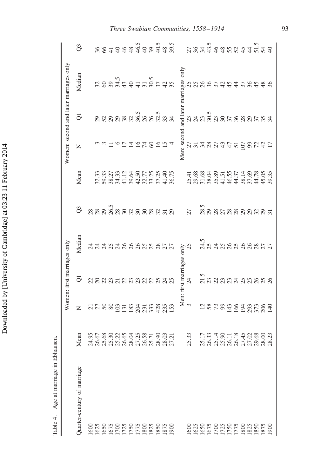|                                                                            |                                                                   |                 | Women: first marriages only            |                                                               |                                                                                                                                                                                                                                  |                                                                                                                                                                                                                                                                                                     |           |                | Women: second and later marriages only            |                                                                                                                                                                                                                                  |
|----------------------------------------------------------------------------|-------------------------------------------------------------------|-----------------|----------------------------------------|---------------------------------------------------------------|----------------------------------------------------------------------------------------------------------------------------------------------------------------------------------------------------------------------------------|-----------------------------------------------------------------------------------------------------------------------------------------------------------------------------------------------------------------------------------------------------------------------------------------------------|-----------|----------------|---------------------------------------------------|----------------------------------------------------------------------------------------------------------------------------------------------------------------------------------------------------------------------------------|
| Quarter-century of marriage                                                | Mean<br>$\mathbf{I}$                                              | Z               | $\overline{\circ}$                     | Median                                                        | $\infty$                                                                                                                                                                                                                         | Mean                                                                                                                                                                                                                                                                                                | Z         | $\overline{O}$ | Median                                            | $\infty$                                                                                                                                                                                                                         |
|                                                                            |                                                                   |                 |                                        |                                                               |                                                                                                                                                                                                                                  |                                                                                                                                                                                                                                                                                                     |           |                |                                                   |                                                                                                                                                                                                                                  |
|                                                                            |                                                                   |                 |                                        |                                                               |                                                                                                                                                                                                                                  |                                                                                                                                                                                                                                                                                                     |           |                |                                                   |                                                                                                                                                                                                                                  |
|                                                                            |                                                                   |                 |                                        |                                                               |                                                                                                                                                                                                                                  |                                                                                                                                                                                                                                                                                                     |           |                |                                                   |                                                                                                                                                                                                                                  |
|                                                                            |                                                                   |                 |                                        |                                                               |                                                                                                                                                                                                                                  |                                                                                                                                                                                                                                                                                                     |           |                |                                                   |                                                                                                                                                                                                                                  |
|                                                                            |                                                                   |                 |                                        |                                                               |                                                                                                                                                                                                                                  |                                                                                                                                                                                                                                                                                                     |           |                |                                                   |                                                                                                                                                                                                                                  |
|                                                                            |                                                                   |                 |                                        |                                                               |                                                                                                                                                                                                                                  |                                                                                                                                                                                                                                                                                                     |           |                |                                                   |                                                                                                                                                                                                                                  |
|                                                                            | 5<br>5 5 6 5 5 5 5 5 6 7 6 7 6 9 6<br>5 6 6 7 8 7 6 7 6 7 6 7 6 7 |                 | 88885888888888                         | 33323888888855                                                |                                                                                                                                                                                                                                  |                                                                                                                                                                                                                                                                                                     | LIST 8554 |                | sentations                                        |                                                                                                                                                                                                                                  |
|                                                                            |                                                                   |                 |                                        |                                                               |                                                                                                                                                                                                                                  |                                                                                                                                                                                                                                                                                                     |           |                |                                                   |                                                                                                                                                                                                                                  |
|                                                                            |                                                                   |                 |                                        |                                                               |                                                                                                                                                                                                                                  |                                                                                                                                                                                                                                                                                                     |           |                |                                                   |                                                                                                                                                                                                                                  |
|                                                                            |                                                                   |                 |                                        |                                                               |                                                                                                                                                                                                                                  |                                                                                                                                                                                                                                                                                                     |           |                |                                                   |                                                                                                                                                                                                                                  |
|                                                                            |                                                                   |                 |                                        |                                                               |                                                                                                                                                                                                                                  |                                                                                                                                                                                                                                                                                                     |           |                |                                                   |                                                                                                                                                                                                                                  |
|                                                                            |                                                                   |                 |                                        |                                                               |                                                                                                                                                                                                                                  |                                                                                                                                                                                                                                                                                                     |           |                |                                                   |                                                                                                                                                                                                                                  |
|                                                                            |                                                                   |                 |                                        |                                                               | compression compression di compressione di compressione di compressione di compressione di compressione di com<br>Compressione di compressione di compressione di compressione di compressione di compressione di compressione d | $\begin{array}{l} 33.83 \\ 35.83 \\ 36.83 \\ 47.84 \\ 58.85 \\ 67.87 \\ 79.87 \\ 79.87 \\ 79.87 \\ 79.87 \\ 79.87 \\ 79.87 \\ 79.87 \\ 79.87 \\ 79.87 \\ 79.87 \\ 79.87 \\ 79.87 \\ 79.87 \\ 79.87 \\ 79.87 \\ 79.87 \\ 79.87 \\ 79.87 \\ 79.87 \\ 79.87 \\ 79.87 \\ 79.87 \\ 79.87 \\ 79.87 \\ 79$ |           |                |                                                   | 86444448448<br>86444448848                                                                                                                                                                                                       |
|                                                                            |                                                                   |                 |                                        |                                                               |                                                                                                                                                                                                                                  |                                                                                                                                                                                                                                                                                                     |           |                |                                                   |                                                                                                                                                                                                                                  |
|                                                                            | 25.33                                                             |                 | Men: first marriages only<br>3 $24$ 25 |                                                               | 27                                                                                                                                                                                                                               |                                                                                                                                                                                                                                                                                                     |           |                |                                                   |                                                                                                                                                                                                                                  |
| 1600<br>1616700011720001165011<br>1717171801818181911<br>19111171818181911 |                                                                   |                 |                                        |                                                               |                                                                                                                                                                                                                                  |                                                                                                                                                                                                                                                                                                     |           |                | ដើម<br>និង<br>ដូច ដូច ដូច ដូច ដូច ដូច ដូច ដូច ដូច | comparties de la distriction de la distriction de la distriction de la distriction de la distriction de la dis<br>La distriction de la distriction de la distriction de la distriction de la distriction de la distriction de la |
|                                                                            |                                                                   |                 |                                        |                                                               |                                                                                                                                                                                                                                  |                                                                                                                                                                                                                                                                                                     |           |                |                                                   |                                                                                                                                                                                                                                  |
|                                                                            |                                                                   |                 |                                        |                                                               |                                                                                                                                                                                                                                  |                                                                                                                                                                                                                                                                                                     |           |                |                                                   |                                                                                                                                                                                                                                  |
|                                                                            |                                                                   |                 |                                        |                                                               |                                                                                                                                                                                                                                  |                                                                                                                                                                                                                                                                                                     |           |                |                                                   |                                                                                                                                                                                                                                  |
|                                                                            |                                                                   |                 |                                        |                                                               |                                                                                                                                                                                                                                  |                                                                                                                                                                                                                                                                                                     |           |                |                                                   |                                                                                                                                                                                                                                  |
|                                                                            |                                                                   |                 |                                        |                                                               |                                                                                                                                                                                                                                  |                                                                                                                                                                                                                                                                                                     |           |                |                                                   |                                                                                                                                                                                                                                  |
|                                                                            |                                                                   |                 |                                        |                                                               |                                                                                                                                                                                                                                  |                                                                                                                                                                                                                                                                                                     |           |                |                                                   |                                                                                                                                                                                                                                  |
|                                                                            |                                                                   |                 |                                        |                                                               |                                                                                                                                                                                                                                  |                                                                                                                                                                                                                                                                                                     |           |                |                                                   |                                                                                                                                                                                                                                  |
|                                                                            |                                                                   |                 |                                        |                                                               |                                                                                                                                                                                                                                  |                                                                                                                                                                                                                                                                                                     |           |                |                                                   |                                                                                                                                                                                                                                  |
|                                                                            |                                                                   |                 |                                        |                                                               |                                                                                                                                                                                                                                  |                                                                                                                                                                                                                                                                                                     |           |                |                                                   |                                                                                                                                                                                                                                  |
|                                                                            |                                                                   | 187899953728727 | .<br>ក្តុងក្តុងក្តុងក្តុងក្ត           | n<br>संप्रसाप प्राप्त प्रथा द्या<br>प्राप्त प्राप्त प्रथा दिन | .<br>ឌុំ ១ ឌុក ឌុឌ ១ ១ ១ ១ ១ ភូ<br>ស៊ី ស៊ី ស៊ី ស៊ី ស៊ី ស៊ី ស៊ី ស៊ី                                                                                                                                                               |                                                                                                                                                                                                                                                                                                     |           |                |                                                   |                                                                                                                                                                                                                                  |
|                                                                            |                                                                   |                 |                                        |                                                               |                                                                                                                                                                                                                                  | $\begin{array}{cccccccccc} 4.88848 & 4.8874 & 4.8874 & 4.8874 & 4.8944 & 4.8944 & 4.8944 & 4.8944 & 4.8944 & 4.8944 & 4.8944 & 4.8944 & 4.8944 & 4.8944 & 4.8944 & 4.8944 & 4.8944 & 4.8944 & 4.8944 & 4.8944 & 4.8944 & 4.8944 & 4.8944 & 4.8944 & 4.8944 & 4.8944 & 4$                            |           |                |                                                   |                                                                                                                                                                                                                                  |

Downloaded by [University of Cambridge] at 03:23 11 February 2014 Downloaded by [University of Cambridge] at 03:23 11 February 2014

Table 4. Age at marriage in Ebhausen. Table 4. Age at marriage in Ebhausen.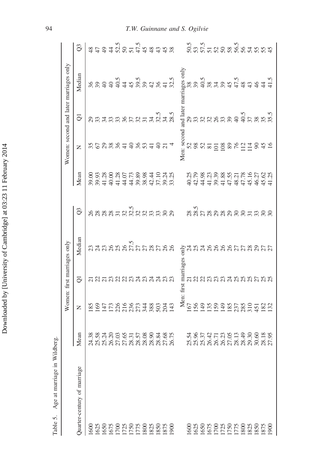| ֠                    |
|----------------------|
| i<br>ļ               |
|                      |
| ،<br>،<br>ׇׇ֠֕֡<br>ı |
| ۱<br>֠<br>I          |
|                      |
| ֕<br>i<br>l<br>ļ     |
|                      |
|                      |
|                      |
| ļ                    |

Table 5. Age at marriage in Wildberg. Table 5. Age at marriage in Wildberg.

|                                                                        |                                                                                                    |                | Women: first marriages only         |                                     |                                                                                                                                                                                                                                                                                                                                                                                                                           |      |                               |                                                     | Women: second and later marriages only |                                           |
|------------------------------------------------------------------------|----------------------------------------------------------------------------------------------------|----------------|-------------------------------------|-------------------------------------|---------------------------------------------------------------------------------------------------------------------------------------------------------------------------------------------------------------------------------------------------------------------------------------------------------------------------------------------------------------------------------------------------------------------------|------|-------------------------------|-----------------------------------------------------|----------------------------------------|-------------------------------------------|
| Quarter-century of marriage                                            | Mean<br>L                                                                                          | Z              | $\overline{O}$                      | Median                              | $\infty$                                                                                                                                                                                                                                                                                                                                                                                                                  | Mean | Z                             | $\overline{\circ}$                                  | Median                                 | වි                                        |
|                                                                        |                                                                                                    |                |                                     |                                     |                                                                                                                                                                                                                                                                                                                                                                                                                           |      |                               |                                                     |                                        |                                           |
|                                                                        |                                                                                                    |                |                                     |                                     |                                                                                                                                                                                                                                                                                                                                                                                                                           |      |                               |                                                     |                                        |                                           |
|                                                                        |                                                                                                    |                |                                     |                                     |                                                                                                                                                                                                                                                                                                                                                                                                                           |      |                               |                                                     |                                        |                                           |
|                                                                        | ន្ទ័ន្ទដុន្ម ១៩ ភូមិ ១៩ ១៩ ១៩<br>ក្នុង ១៩ ១ ១ ១ ១ ១ ១ ១ ១ ១ ១ ១ ១<br>ក្នុង ១ ១ ១ ១ ១ ១ ១ ១ ១ ១ ១ ១ | 89458886#88843 | da mada wa wa wa                    | n<br>Adaaaachaanaaa<br>Adaaaaanaaaa |                                                                                                                                                                                                                                                                                                                                                                                                                           |      | scassages a                   | c<br>Santamentani di Santa<br>Santamentani di Santa | 884444884844884848                     | 87948654444488                            |
|                                                                        |                                                                                                    |                |                                     |                                     |                                                                                                                                                                                                                                                                                                                                                                                                                           |      |                               |                                                     |                                        |                                           |
|                                                                        |                                                                                                    |                |                                     |                                     |                                                                                                                                                                                                                                                                                                                                                                                                                           |      |                               |                                                     |                                        |                                           |
|                                                                        |                                                                                                    |                |                                     |                                     |                                                                                                                                                                                                                                                                                                                                                                                                                           |      |                               |                                                     |                                        |                                           |
|                                                                        |                                                                                                    |                |                                     |                                     |                                                                                                                                                                                                                                                                                                                                                                                                                           |      |                               |                                                     |                                        |                                           |
|                                                                        |                                                                                                    |                |                                     |                                     |                                                                                                                                                                                                                                                                                                                                                                                                                           |      |                               |                                                     |                                        |                                           |
|                                                                        |                                                                                                    |                |                                     |                                     |                                                                                                                                                                                                                                                                                                                                                                                                                           |      |                               |                                                     |                                        |                                           |
|                                                                        |                                                                                                    |                |                                     |                                     |                                                                                                                                                                                                                                                                                                                                                                                                                           |      | $\Theta$                      |                                                     |                                        |                                           |
|                                                                        |                                                                                                    |                |                                     |                                     |                                                                                                                                                                                                                                                                                                                                                                                                                           |      | $\overline{c}$ $\overline{d}$ |                                                     |                                        |                                           |
|                                                                        |                                                                                                    |                |                                     |                                     | $\begin{array}{cc} & \kappa_1 & \kappa_2 & \kappa_3 & \kappa_4 & \kappa_5 & \kappa_6 & \kappa_7 & \kappa_7 & \kappa_8 & \kappa_7 & \kappa_8 & \kappa_7 & \kappa_8 & \kappa_7 & \kappa_8 & \kappa_8 & \kappa_7 & \kappa_8 & \kappa_8 & \kappa_8 & \kappa_8 & \kappa_8 & \kappa_8 & \kappa_8 & \kappa_8 & \kappa_8 & \kappa_8 & \kappa_8 & \kappa_8 & \kappa_8 & \kappa_8 & \kappa_8 & \kappa_8 & \kappa_8 & \kappa_8 & \k$ |      |                               |                                                     |                                        |                                           |
|                                                                        |                                                                                                    |                | Men: first marr                     | only                                |                                                                                                                                                                                                                                                                                                                                                                                                                           |      | Men: second                   | and later                                           |                                        |                                           |
|                                                                        |                                                                                                    |                |                                     |                                     |                                                                                                                                                                                                                                                                                                                                                                                                                           |      |                               |                                                     |                                        |                                           |
|                                                                        |                                                                                                    | 167<br>156     |                                     |                                     |                                                                                                                                                                                                                                                                                                                                                                                                                           |      |                               |                                                     |                                        |                                           |
| 1600<br>1625 000 1725<br>1636 1725 1830<br>1726 1830<br>1830 1830 1830 |                                                                                                    | 14599278777222 |                                     | <b>AAAAAAAAAAA</b>                  | s<br>ਲ਼ਲ਼ਲ਼ਲ਼ਲ਼ਲ਼ਲ਼ਫ਼ਫ਼ਜ਼ਲ਼ਫ਼ਫ਼<br>ਲ਼ਲ਼ਲ਼ਲ਼ਲ਼ਲ਼ਲ਼ਫ਼ਜ਼ਲ਼ਫ਼ਫ਼                                                                                                                                                                                                                                                                                                                                                               |      | 888502884215849               |                                                     |                                        | s<br>Sacradox Sortong<br>Sacradox Sortong |
|                                                                        |                                                                                                    |                |                                     |                                     |                                                                                                                                                                                                                                                                                                                                                                                                                           |      |                               |                                                     |                                        |                                           |
|                                                                        |                                                                                                    |                |                                     |                                     |                                                                                                                                                                                                                                                                                                                                                                                                                           |      |                               |                                                     |                                        |                                           |
|                                                                        |                                                                                                    |                |                                     |                                     |                                                                                                                                                                                                                                                                                                                                                                                                                           |      |                               |                                                     |                                        |                                           |
|                                                                        |                                                                                                    |                |                                     |                                     |                                                                                                                                                                                                                                                                                                                                                                                                                           |      |                               |                                                     |                                        |                                           |
|                                                                        |                                                                                                    |                | <u>ព្រីព្រីព្រីព្រីព្រីព្រីព្រី</u> |                                     |                                                                                                                                                                                                                                                                                                                                                                                                                           |      |                               |                                                     |                                        |                                           |
|                                                                        |                                                                                                    |                |                                     |                                     |                                                                                                                                                                                                                                                                                                                                                                                                                           |      |                               |                                                     |                                        |                                           |
|                                                                        |                                                                                                    |                |                                     |                                     |                                                                                                                                                                                                                                                                                                                                                                                                                           |      |                               |                                                     |                                        |                                           |
|                                                                        |                                                                                                    |                |                                     |                                     |                                                                                                                                                                                                                                                                                                                                                                                                                           |      |                               |                                                     |                                        |                                           |
|                                                                        |                                                                                                    |                |                                     |                                     |                                                                                                                                                                                                                                                                                                                                                                                                                           |      |                               |                                                     |                                        |                                           |
|                                                                        |                                                                                                    |                |                                     |                                     |                                                                                                                                                                                                                                                                                                                                                                                                                           |      |                               |                                                     |                                        |                                           |

# T.W. Guinnane and S. Ogilvie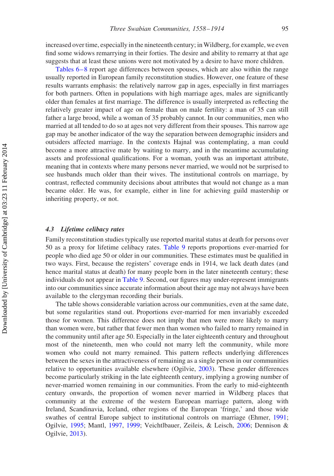increased over time, especially in the nineteenth century; in Wildberg, for example, we even find some widows remarrying in their forties. The desire and ability to remarry at that age suggests that at least these unions were not motivated by a desire to have more children.

[Tables 6– 8](#page-20-0) report age differences between spouses, which are also within the range usually reported in European family reconstitution studies. However, one feature of these results warrants emphasis: the relatively narrow gap in ages, especially in first marriages for both partners. Often in populations with high marriage ages, males are significantly older than females at first marriage. The difference is usually interpreted as reflecting the relatively greater impact of age on female than on male fertility: a man of 35 can still father a large brood, while a woman of 35 probably cannot. In our communities, men who married at all tended to do so at ages not very different from their spouses. This narrow age gap may be another indicator of the way the separation between demographic insiders and outsiders affected marriage. In the contexts Hajnal was contemplating, a man could become a more attractive mate by waiting to marry, and in the meantime accumulating assets and professional qualifications. For a woman, youth was an important attribute, meaning that in contexts where many persons never married, we would not be surprised to see husbands much older than their wives. The institutional controls on marriage, by contrast, reflected community decisions about attributes that would not change as a man became older. He was, for example, either in line for achieving guild mastership or inheriting property, or not.

## 4.3 Lifetime celibacy rates

Family reconstitution studies typically use reported marital status at death for persons over 50 as a proxy for lifetime celibacy rates. [Table 9](#page-23-0) reports proportions ever-married for people who died age 50 or older in our communities. These estimates must be qualified in two ways. First, because the registers' coverage ends in 1914, we lack death dates (and hence marital status at death) for many people born in the later nineteenth century; these individuals do not appear in [Table 9](#page-23-0). Second, our figures may under-represent immigrants into our communities since accurate information about their age may not always have been available to the clergyman recording their burials.

The table shows considerable variation across our communities, even at the same date, but some regularities stand out. Proportions ever-married for men invariably exceeded those for women. This difference does not imply that men were more likely to marry than women were, but rather that fewer men than women who failed to marry remained in the community until after age 50. Especially in the later eighteenth century and throughout most of the nineteenth, men who could not marry left the community, while more women who could not marry remained. This pattern reflects underlying differences between the sexes in the attractiveness of remaining as a single person in our communities relative to opportunities available elsewhere (Ogilvie, [2003](#page-41-1)). These gender differences become particularly striking in the late eighteenth century, implying a growing number of never-married women remaining in our communities. From the early to mid-eighteenth century onwards, the proportion of women never married in Wildberg places that community at the extreme of the western European marriage pattern, along with Ireland, Scandinavia, Iceland, other regions of the European 'fringe,' and those wide swathes of central Europe subject to institutional controls on marriage (Ehmer, [1991](#page-39-0); Ogilvie, [1995;](#page-40-4) Mantl, [1997](#page-40-2), [1999;](#page-40-3) Veichtlbauer, Zeileis, & Leisch, [2006](#page-42-4); Dennison & Ogilvie, [2013\)](#page-39-11).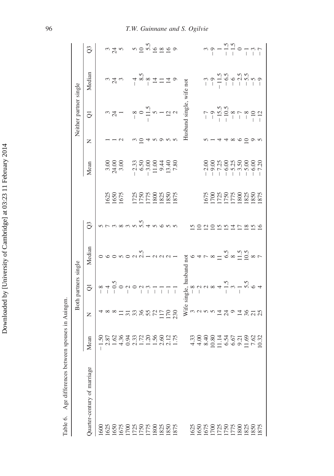<span id="page-20-0"></span>

| USE AITENCIA DELMAETI 9<br>l aulu U.                                       |                                                                                                                                                                                                                                                                                       | ramighi             |                                                                                                |                            |               |                                                        |                                                                                        |                 |                                                                      |        |                |
|----------------------------------------------------------------------------|---------------------------------------------------------------------------------------------------------------------------------------------------------------------------------------------------------------------------------------------------------------------------------------|---------------------|------------------------------------------------------------------------------------------------|----------------------------|---------------|--------------------------------------------------------|----------------------------------------------------------------------------------------|-----------------|----------------------------------------------------------------------|--------|----------------|
|                                                                            |                                                                                                                                                                                                                                                                                       |                     | Both partners single                                                                           |                            |               |                                                        |                                                                                        |                 | Neither partner single                                               |        |                |
| Quarter-century of marriage                                                | Mean                                                                                                                                                                                                                                                                                  | Z                   | $\overline{O}$                                                                                 | Median                     | $\Im$         |                                                        | Mean                                                                                   | Z               | $\overline{O}$                                                       | Median | $\overline{Q}$ |
|                                                                            | I                                                                                                                                                                                                                                                                                     |                     |                                                                                                |                            |               |                                                        |                                                                                        |                 |                                                                      |        |                |
| 1600<br>1675 1780<br>1780 1780 1880<br>1780 1881<br>1882 1883<br>1883 1883 | $\begin{array}{l} 50000 \\ 1.80000 \\ 1.40000 \\ 1.50000 \\ 1.50000 \\ 1.50000 \\ 1.50000 \\ 1.50000 \\ 1.50000 \\ 1.50000 \\ 1.50000 \\ 1.50000 \\ 1.50000 \\ 1.50000 \\ 1.50000 \\ 1.50000 \\ 1.50000 \\ 1.50000 \\ 1.50000 \\ 1.50000 \\ 1.50000 \\ 1.50000 \\ 1.50000 \\ 1.50000$ |                     |                                                                                                |                            | nraxanniduonn |                                                        |                                                                                        |                 |                                                                      |        |                |
|                                                                            |                                                                                                                                                                                                                                                                                       |                     |                                                                                                |                            |               |                                                        | $3.00$<br>$24.00$<br>$3.00$                                                            |                 | $\omega$ $\frac{4}{5}$ -                                             | w g w  | w 4 w          |
|                                                                            |                                                                                                                                                                                                                                                                                       |                     |                                                                                                |                            |               |                                                        |                                                                                        |                 |                                                                      |        |                |
|                                                                            |                                                                                                                                                                                                                                                                                       |                     |                                                                                                |                            |               |                                                        |                                                                                        |                 |                                                                      |        |                |
|                                                                            |                                                                                                                                                                                                                                                                                       |                     |                                                                                                |                            |               |                                                        |                                                                                        |                 |                                                                      |        |                |
|                                                                            |                                                                                                                                                                                                                                                                                       |                     |                                                                                                |                            |               |                                                        |                                                                                        | $\frac{10}{10}$ |                                                                      |        |                |
|                                                                            |                                                                                                                                                                                                                                                                                       |                     |                                                                                                |                            |               |                                                        |                                                                                        |                 |                                                                      |        |                |
|                                                                            |                                                                                                                                                                                                                                                                                       |                     |                                                                                                |                            |               |                                                        |                                                                                        |                 |                                                                      |        |                |
|                                                                            |                                                                                                                                                                                                                                                                                       |                     |                                                                                                |                            |               |                                                        |                                                                                        |                 |                                                                      |        |                |
|                                                                            |                                                                                                                                                                                                                                                                                       | 1.5888821228        |                                                                                                |                            |               |                                                        |                                                                                        | 955             | $-8$ 0 $-1.5$ 0 $-1.2$ 0                                             |        | 5.5999990      |
|                                                                            |                                                                                                                                                                                                                                                                                       |                     |                                                                                                |                            |               | 1625<br>1650<br>1675<br>17750<br>17750<br>1875<br>1875 | $\begin{array}{r} -2.33 \\ -6.50 \\ -3.00 \\ 1.1 \\ 9.4 \\ 4.9 \\ 7.80 \\ \end{array}$ |                 |                                                                      |        |                |
|                                                                            |                                                                                                                                                                                                                                                                                       |                     | single, husb<br>$-8$<br>$-8$<br>$-8$<br>$-8$<br>$-15$<br>$-55$<br>$-5$<br>$-5$<br>$-6$<br>$-4$ | l not                      |               |                                                        |                                                                                        |                 | Husband single, wife not                                             |        |                |
|                                                                            |                                                                                                                                                                                                                                                                                       |                     |                                                                                                |                            |               |                                                        |                                                                                        |                 |                                                                      |        |                |
|                                                                            |                                                                                                                                                                                                                                                                                       |                     |                                                                                                |                            |               |                                                        |                                                                                        |                 |                                                                      |        |                |
|                                                                            |                                                                                                                                                                                                                                                                                       |                     |                                                                                                |                            |               |                                                        |                                                                                        |                 |                                                                      |        |                |
| 1625<br>1650<br>16725<br>17750<br>1825<br>1826<br>1826<br>1826             |                                                                                                                                                                                                                                                                                       | 形。<br>Win 254494%22 |                                                                                                | $64 - 8 = 5$<br>$68 = 128$ | 2022112259    | 1675<br>1700<br>17150<br>17150<br>1825<br>1875<br>1875 |                                                                                        |                 | $-7$<br>$-9$<br>$-15.5$<br>$-10.5$<br>$-8$<br>$-7$<br>$-12$<br>$-12$ |        |                |
|                                                                            |                                                                                                                                                                                                                                                                                       |                     |                                                                                                |                            |               |                                                        |                                                                                        |                 |                                                                      |        |                |
|                                                                            |                                                                                                                                                                                                                                                                                       |                     |                                                                                                |                            |               |                                                        |                                                                                        |                 |                                                                      |        |                |
|                                                                            |                                                                                                                                                                                                                                                                                       |                     |                                                                                                |                            |               |                                                        |                                                                                        | $\infty$        |                                                                      |        |                |
|                                                                            |                                                                                                                                                                                                                                                                                       |                     |                                                                                                |                            |               |                                                        |                                                                                        |                 |                                                                      |        |                |
|                                                                            |                                                                                                                                                                                                                                                                                       |                     |                                                                                                |                            |               |                                                        |                                                                                        | ဖ ္ ၁           |                                                                      |        |                |
|                                                                            |                                                                                                                                                                                                                                                                                       |                     |                                                                                                |                            |               |                                                        |                                                                                        |                 |                                                                      |        |                |
|                                                                            |                                                                                                                                                                                                                                                                                       |                     |                                                                                                |                            |               |                                                        |                                                                                        | $\sim$          |                                                                      |        |                |

Table 6. Age differences between spouses in Auingen. Table 6. Age differences between spouses in Auingen.

Downloaded by [University of Cambridge] at 03:23 11 February 2014 Downloaded by [University of Cambridge] at 03:23 11 February 2014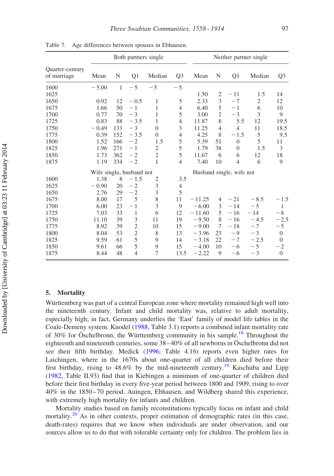|                                |                          |     |                | Both partners single |                |          |                |                          | Neither partner single |                  |
|--------------------------------|--------------------------|-----|----------------|----------------------|----------------|----------|----------------|--------------------------|------------------------|------------------|
| Quarter-century<br>of marriage | Mean                     | N   | Q1             | Median               | Q <sub>3</sub> | Mean     | N              | Q1                       | Median                 | Q <sub>3</sub>   |
| 1600                           | $-5.00$                  | 1   | $-5$           | $-5$                 | $-5$           |          |                |                          |                        |                  |
| 1625                           |                          |     |                |                      |                | 1.50     | $\mathfrak{2}$ | $-11$                    | 1.5                    | 14               |
| 1650                           | 0.92                     | 12  | $-0.5$         | 1                    | 5              | 2.33     | 3              | $-7$                     | 2                      | 12               |
| 1675                           | 1.66                     | 50  | $-1$           | 1                    | $\overline{4}$ | 6.40     | 5              | $-1$                     | 6                      | 10               |
| 1700                           | 0.77                     | 70  | $-3$           | 1                    | 5              | 3.00     | $\overline{2}$ | $-3$                     | 3                      | 9                |
| 1725                           | 0.83                     | 88  | $-3.5$         | 1                    | $\overline{4}$ | 11.87    | $\,$ 8 $\,$    | 5.5                      | 12                     | 19.5             |
| 1750                           | $-0.49$                  | 133 | $-3$           | $\theta$             | 3              | 11.25    | $\overline{4}$ | $\overline{4}$           | 11                     | 18.5             |
| 1775                           | 0.39                     | 152 | $-3.5$         | $\theta$             | $\overline{4}$ | 4.25     | 8              | $-1.5$                   | 5                      | 9.5              |
| 1800                           | 1.52                     | 166 | $-2$           | 1.5                  | 5              | 5.39     | 51             | $\overline{0}$           | 5                      | 11               |
| 1825                           | 1.96                     | 271 | $-1$           | 2                    | 5              | 1.79     | 38             | $\overline{0}$           | 1.5                    | 3                |
| 1850                           | 1.73                     | 362 | $-2$           | 2                    | 5              | 11.67    | 6              | 6                        | 12                     | 18               |
| 1875                           | 1.19                     | 334 | $-2$           | $\mathbf{1}$         | $\overline{4}$ | 7.40     | 10             | $\overline{4}$           | 6                      | 9                |
|                                | Wife single, husband not |     |                |                      |                |          |                | Husband single, wife not |                        |                  |
| 1600                           | 1.38                     | 8   | $-1.5$         | 2                    | 3.5            |          |                |                          |                        |                  |
| 1625                           | $-0.90$                  | 20  | $-2$           | 3                    | 4              |          |                |                          |                        |                  |
| 1650                           | 2.76                     | 29  | $-2$           | 3                    | 5              |          |                |                          |                        |                  |
| 1675                           | 8.00                     | 17  | 5              | 8                    | 11             | $-11.25$ | 4              | $-21$                    | $-8.5$                 | $-1.5$           |
| 1700                           | 6.00                     | 23  | $-1$           | 3                    | 9              | $-6.00$  | 3              | $-14$                    | $-5$                   | 1                |
| 1725                           | 7.03                     | 33  | $\mathbf{1}$   | 6                    | 12             | $-11.60$ | 5              | $-16$                    | $-14$                  | $-8$             |
| 1750                           | 11.10                    | 39  | 3              | 11                   | 19             | $-9.50$  | 8              | $-16$                    | $-4.5$                 | $-2.5$           |
| 1775                           | 8.92                     | 39  | $\overline{2}$ | 10                   | 15             | $-9.00$  | $\tau$         | $-18$                    | $-7$                   | $-5$             |
| 1800                           | 8.04                     | 53  | $\overline{c}$ | 8                    | 13             | $-3.96$  | 23             | $-9$                     | $-3$                   | $\overline{0}$   |
| 1825                           | 9.59                     | 61  | 5              | 9                    | 14             | $-3.18$  | 22             | $-7$                     | $-2.5$                 | $\overline{0}$   |
| 1850                           | 9.61                     | 66  | 5              | 9                    | 15             | $-4.00$  | 10             | -6                       | $-5$                   | $-2$             |
| 1875                           | 8.44                     | 48  | $\overline{4}$ | 7                    | 13.5           | $-2.22$  | 9              | $-6$                     | $-3$                   | $\boldsymbol{0}$ |

Table 7. Age differences between spouses in Ebhausen.

#### 5. Mortality

Württemberg was part of a central European zone where mortality remained high well into the nineteenth century. Infant and child mortality was, relative to adult mortality, especially high; in fact, Germany underlies the 'East' family of model life tables in the Coale-Demeny system. Knodel [\(1988](#page-40-5), Table 3.1) reports a combined infant mortality rate of 30% for Öschelbronn, the Württemberg community in his sample.<sup>18</sup> Throughout the eighteenth and nineteenth centuries, some  $38 - 40\%$  of all newborns in Öschelbronn did not see their fifth birthday. Medick ([1996,](#page-40-7) Table 4.16) reports even higher rates for Laichingen, where in the 1670s about one-quarter of all children died before their first birthday, rising to 48.6% by the mid-nineteenth century.<sup>[19](#page-37-2)</sup> Kaschuba and Lipp ([1982,](#page-40-9) Table II.93) find that in Kiebingen a minimum of one-quarter of children died before their first birthday in every five-year period between 1800 and 1909, rising to over 40% in the 1850 – 70 period. Auingen, Ebhausen, and Wildberg shared this experience, with extremely high mortality for infants and children.

Mortality studies based on family reconstitutions typically focus on infant and child mortality. $20$  As in other contexts, proper estimation of demographic rates (in this case, death-rates) requires that we know when individuals are under observation, and our sources allow us to do that with tolerable certainty only for children. The problem lies in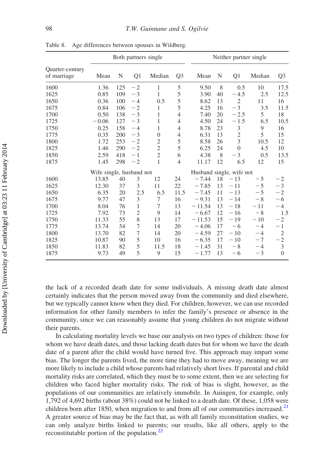|                                       |                          |     | Both partners single |                |                |                          |    | Neither partner single |        |                |
|---------------------------------------|--------------------------|-----|----------------------|----------------|----------------|--------------------------|----|------------------------|--------|----------------|
| <b>Ouarter-century</b><br>of marriage | Mean                     | N   | Q1                   | Median         | Q <sub>3</sub> | Mean                     | N  | Q1                     | Median | Q <sub>3</sub> |
| 1600                                  | 1.36                     | 125 | $-2$                 | 1              | 5              | 9.50                     | 8  | 0.5                    | 10     | 17.5           |
| 1625                                  | 0.85                     | 109 | $-3$                 | 1              | 5              | 3.90                     | 40 | $-4.5$                 | 2.5    | 12.5           |
| 1650                                  | 0.36                     | 100 | $-4$                 | 0.5            | 5              | 8.62                     | 13 | $\mathbf{2}$           | 11     | 16             |
| 1675                                  | 0.84                     | 106 | $-2$                 | 1              | 5              | 4.25                     | 16 | $-3$                   | 3.5    | 11.5           |
| 1700                                  | 0.50                     | 138 | $-3$                 | 1              | $\overline{4}$ | 7.40                     | 20 | $-2.5$                 | 5      | 18             |
| 1725                                  | $-0.06$                  | 127 | $-3$                 | 1              | $\overline{4}$ | 4.50                     | 24 | $-1.5$                 | 6.5    | 10.5           |
| 1750                                  | 0.25                     | 158 | $-4$                 | 1              | $\overline{4}$ | 8.78                     | 23 | 3                      | 9      | 16             |
| 1775                                  | 0.35                     | 200 | $-3$                 | $\overline{0}$ | $\overline{4}$ | 6.31                     | 13 | $\overline{c}$         | 5      | 15             |
| 1800                                  | 1.72                     | 253 | $-2$                 | $\overline{2}$ | 5              | 8.58                     | 26 | 3                      | 10.5   | 12             |
| 1825                                  | 1.46                     | 290 | $-2$                 | $\overline{2}$ | 5              | 6.25                     | 24 | $\theta$               | 4.5    | 10             |
| 1850                                  | 2.59                     | 418 | $-1$                 | $\overline{c}$ | 6              | 4.38                     | 8  | $-3$                   | 0.5    | 13.5           |
| 1875                                  | 1.45                     | 298 | $-2$                 | 1              | 4              | 11.17                    | 12 | 6.5                    | 12     | 15             |
|                                       | Wife single, husband not |     |                      |                |                | Husband single, wife not |    |                        |        |                |
| 1600                                  | 13.85                    | 40  | 3                    | 12             | 24             | $-7.44$                  | 18 | $-13$                  | $-5$   | $-2$           |
| 1625                                  | 12.30                    | 37  | 3                    | 11             | 22             | $-7.85$                  | 13 | $-11$                  | $-5$   | $-3$           |
| 1650                                  | 6.35                     | 20  | 2.5                  | 6.5            | 11.5           | $-7.45$                  | 11 | $-13$                  | $-5$   | $-2$           |
| 1675                                  | 9.77                     | 47  | 3                    | 7              | 16             | $-9.31$                  | 13 | $-14$                  | $-8$   | -6             |
| 1700                                  | 8.04                     | 76  | $\mathbf{1}$         | 7              | 13             | $-11.54$                 | 13 | $-18$                  | $-11$  | $-4$           |
| 1725                                  | 7.92                     | 73  | $\overline{2}$       | 9              | 14             | $-6.67$                  | 12 | $-16$                  | $-8$   | 1.5            |
| 1750                                  | 11.33                    | 55  | 8                    | 13             | 17             | $-11.53$                 | 15 | $-19$                  | $-10$  | $-2$           |
| 1775                                  | 13.74                    | 54  | 7                    | 14             | 20             | $-4.06$                  | 17 | $-6$                   | $-4$   | $-1$           |
| 1800                                  | 13.70                    | 82  | 7                    | 14             | 20             | $-4.59$                  | 27 | $-10$                  | $-4$   | $\overline{2}$ |
| 1825                                  | 10.87                    | 90  | 5                    | 10             | 16             | $-6.35$                  | 17 | $-10$                  | $-7$   | $-2$           |
| 1850                                  | 11.83                    | 82  | 5                    | 11.5           | 18             | $-1.45$                  | 31 | $-8$                   | $-4$   | 3              |
| 1875                                  | 9.73                     | 49  | 5                    | 9              | 15             | $-1.77$                  | 13 | -6                     | $-3$   | $\Omega$       |

Table 8. Age differences between spouses in Wildberg.

the lack of a recorded death date for some individuals. A missing death date almost certainly indicates that the person moved away from the community and died elsewhere, but we typically cannot know when they died. For children, however, we can use recorded information for other family members to infer the family's presence or absence in the community, since we can reasonably assume that young children do not migrate without their parents.

In calculating mortality levels we base our analysis on two types of children: those for whom we have death dates, and those lacking death dates but for whom we have the death date of a parent after the child would have turned five. This approach may impart some bias. The longer the parents lived, the more time they had to move away, meaning we are more likely to include a child whose parents had relatively short lives. If parental and child mortality risks are correlated, which they must be to some extent, then we are selecting for children who faced higher mortality risks. The risk of bias is slight, however, as the populations of our communities are relatively immobile. In Auingen, for example, only 1,792 of 4,692 births (about 38%) could not be linked to a death date. Of these, 1,058 were children born after 1850, when migration to and from all of our communities increased. $21$ A greater source of bias may be the fact that, as with all family reconstitution studies, we can only analyze births linked to parents; our results, like all others, apply to the reconstitutable portion of the population.<sup>[22](#page-37-5)</sup>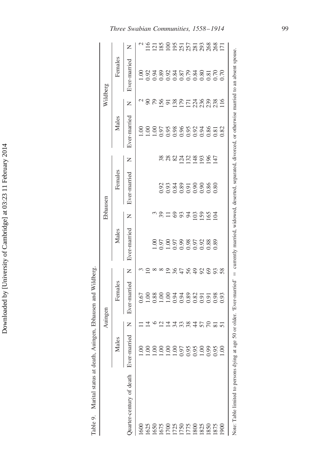| l<br>l<br>֠<br>Ĭ<br>į<br>$\frac{1}{2}$<br>i<br>i<br>١<br>ì<br>is an an international<br>l<br>l<br>l<br>$\frac{1}{2}$<br>į<br>ì<br>j<br>ï<br>ij<br>ĺ |
|-----------------------------------------------------------------------------------------------------------------------------------------------------|
|                                                                                                                                                     |
|                                                                                                                                                     |
|                                                                                                                                                     |
|                                                                                                                                                     |
|                                                                                                                                                     |
|                                                                                                                                                     |
|                                                                                                                                                     |
|                                                                                                                                                     |
|                                                                                                                                                     |

<span id="page-23-0"></span>

|                                                                         |                           |                | Auingen              |                |              |                | Ebhausen                |                   |               |                | Wildberg                                                                                             |                   |
|-------------------------------------------------------------------------|---------------------------|----------------|----------------------|----------------|--------------|----------------|-------------------------|-------------------|---------------|----------------|------------------------------------------------------------------------------------------------------|-------------------|
|                                                                         | Males                     |                | Females              |                | Males        |                | Females                 |                   | Males         |                | Females                                                                                              |                   |
| Quarter-century of death                                                | ried<br>Ever-mar          | z              | Ever-married         | z              | Ever-married | Z              | Ever-married            | Z                 | Ever-married  | z              | Ever-married                                                                                         | z                 |
| 1600                                                                    | $00^1$                    |                | 0.67                 |                |              |                |                         |                   | $\frac{1}{2}$ | $\mathcal{C}$  |                                                                                                      |                   |
|                                                                         | $\odot$                   | 그              |                      |                |              |                |                         |                   |               | $\infty$       |                                                                                                      | $\overline{16}$   |
| 1625<br>1650<br>1700<br>1725<br>1725                                    | 00                        |                | $\frac{0.00}{0.88}$  |                |              |                |                         |                   |               | 79             |                                                                                                      | $\overline{c}$    |
|                                                                         | 00.1                      | 7<br>⊆         | 00.1                 | $\infty$       | 0.97         | ო<br>ვე        |                         | 38                |               | 56             |                                                                                                      | 185               |
|                                                                         | 1.00                      | 그              | 1.00                 | $\overline{0}$ |              | $\equiv$       |                         | $28$              |               | $\overline{9}$ |                                                                                                      | 100               |
|                                                                         | $1.00\,$                  | 34             | 0.94                 |                |              | 69             |                         | 82                |               | 138            |                                                                                                      | 195               |
| 1750                                                                    |                           | 33             |                      | 36             |              | 93             |                         | 124               |               | 179            |                                                                                                      | 251               |
|                                                                         | 0.95<br>0.95<br>0.95      | 38             | 0.38<br>0.82<br>0.91 | 66             | 0.058852888  | $\approx$      | 833355888<br>0000000000 |                   |               |                |                                                                                                      |                   |
| 1775<br>1800<br>1850<br>1850                                            |                           | 4              |                      |                |              | $\Xi$          |                         | $\frac{132}{148}$ |               | HA 22321       |                                                                                                      | 257<br>283<br>268 |
|                                                                         | $1.00\,$                  | 57             |                      | 28             |              | 159            |                         | 193               |               |                |                                                                                                      |                   |
|                                                                         |                           | $\frac{5}{81}$ | 0.91                 |                |              | 165            |                         | $\frac{96}{90}$   |               |                |                                                                                                      |                   |
| 1875                                                                    | 0.95                      |                | 0.98                 | 38             |              | $\overline{5}$ |                         | 147               |               |                |                                                                                                      | 268               |
| 1900                                                                    | $\widetilde{\mathrm{SO}}$ |                | 0.93                 |                |              |                |                         |                   |               |                |                                                                                                      | $\overline{1}$    |
| Note: Table limited to persons dying at age 50 or older. 'Ever-married' |                           |                |                      | $\parallel$    |              |                |                         |                   |               |                | currently married, widowed, deserted, separated, divorced, or otherwise married to an absent spouse. |                   |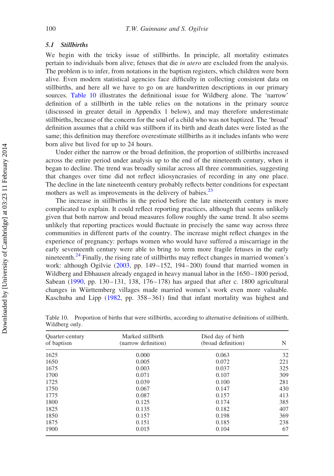# 5.1 Stillbirths

We begin with the tricky issue of stillbirths. In principle, all mortality estimates pertain to individuals born alive; fetuses that die in utero are excluded from the analysis. The problem is to infer, from notations in the baptism registers, which children were born alive. Even modern statistical agencies face difficulty in collecting consistent data on stillbirths, and here all we have to go on are handwritten descriptions in our primary sources. [Table 10](#page-24-0) illustrates the definitional issue for Wildberg alone. The 'narrow' definition of a stillbirth in the table relies on the notations in the primary source (discussed in greater detail in Appendix 1 below), and may therefore underestimate stillbirths, because of the concern for the soul of a child who was not baptized. The 'broad' definition assumes that a child was stillborn if its birth and death dates were listed as the same; this definition may therefore overestimate stillbirths as it includes infants who were born alive but lived for up to 24 hours.

Under either the narrow or the broad definition, the proportion of stillbirths increased across the entire period under analysis up to the end of the nineteenth century, when it began to decline. The trend was broadly similar across all three communities, suggesting that changes over time did not reflect idiosyncrasies of recording in any one place. The decline in the late nineteenth century probably reflects better conditions for expectant mothers as well as improvements in the delivery of babies.<sup>[23](#page-37-6)</sup>

The increase in stillbirths in the period before the late nineteenth century is more complicated to explain. It could reflect reporting practices, although that seems unlikely given that both narrow and broad measures follow roughly the same trend. It also seems unlikely that reporting practices would fluctuate in precisely the same way across three communities in different parts of the country. The increase might reflect changes in the experience of pregnancy: perhaps women who would have suffered a miscarriage in the early seventeenth century were able to bring to term more fragile fetuses in the early nineteenth.<sup>[24](#page-37-7)</sup> Finally, the rising rate of stillbirths may reflect changes in married women's work: although Ogilvie  $(2003, pp. 149 - 152, 194 - 200)$  $(2003, pp. 149 - 152, 194 - 200)$  found that married women in Wildberg and Ebhausen already engaged in heavy manual labor in the 1650–1800 period, Sabean [\(1990](#page-41-7), pp. 130–131, 138, 176–178) has argued that after c. 1800 agricultural changes in Württemberg villages made married women's work even more valuable. Kaschuba and Lipp ([1982,](#page-40-9) pp. 358-361) find that infant mortality was highest and

| Quarter-century<br>of baptism | Marked stillbirth<br>(narrow definition) | Died day of birth<br>(broad definition) | N   |
|-------------------------------|------------------------------------------|-----------------------------------------|-----|
| 1625                          | 0.000                                    | 0.063                                   | 32  |
| 1650                          | 0.005                                    | 0.072                                   | 221 |
| 1675                          | 0.003                                    | 0.037                                   | 325 |
| 1700                          | 0.071                                    | 0.107                                   | 309 |
| 1725                          | 0.039                                    | 0.100                                   | 281 |
| 1750                          | 0.067                                    | 0.147                                   | 430 |
| 1775                          | 0.087                                    | 0.157                                   | 413 |
| 1800                          | 0.125                                    | 0.174                                   | 385 |
| 1825                          | 0.135                                    | 0.182                                   | 407 |
| 1850                          | 0.157                                    | 0.198                                   | 369 |
| 1875                          | 0.151                                    | 0.185                                   | 238 |
| 1900                          | 0.015                                    | 0.104                                   | 67  |

<span id="page-24-0"></span>Table 10. Proportion of births that were stillbirths, according to alternative definitions of stillbirth, Wildberg only.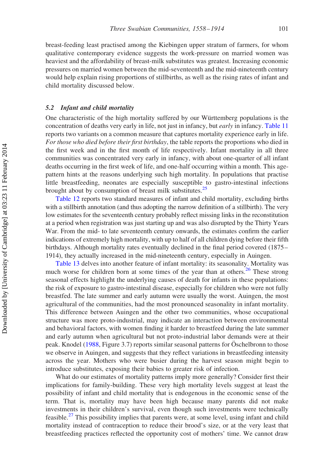breast-feeding least practised among the Kiebingen upper stratum of farmers, for whom qualitative contemporary evidence suggests the work-pressure on married women was heaviest and the affordability of breast-milk substitutes was greatest. Increasing economic pressures on married women between the mid-seventeenth and the mid-nineteenth century would help explain rising proportions of stillbirths, as well as the rising rates of infant and child mortality discussed below.

# 5.2 Infant and child mortality

One characteristic of the high mortality suffered by our Württemberg populations is the concentration of deaths very early in life, not just in infancy, but *early* in infancy. [Table 11](#page-26-0) reports two variants on a common measure that captures mortality experience early in life. For those who died before their first birthday, the table reports the proportions who died in the first week and in the first month of life respectively. Infant mortality in all three communities was concentrated very early in infancy, with about one-quarter of all infant deaths occurring in the first week of life, and one-half occurring within a month. This agepattern hints at the reasons underlying such high mortality. In populations that practise little breastfeeding, neonates are especially susceptible to gastro-intestinal infections brought about by consumption of breast milk substitutes.<sup>[25](#page-37-8)</sup>

[Table 12](#page-27-0) reports two standard measures of infant and child mortality, excluding births with a stillbirth annotation (and thus adopting the narrow definition of a stillbirth). The very low estimates for the seventeenth century probably reflect missing links in the reconstitution at a period when registration was just starting up and was also disrupted by the Thirty Years War. From the mid- to late seventeenth century onwards, the estimates confirm the earlier indications of extremely high mortality, with up to half of all children dying before their fifth birthdays. Although mortality rates eventually declined in the final period covered (1875– 1914), they actually increased in the mid-nineteenth century, especially in Auingen.

[Table 13](#page-28-0) delves into another feature of infant mortality: its seasonality. Mortality was much worse for children born at some times of the year than at others.<sup>26</sup> These strong seasonal effects highlight the underlying causes of death for infants in these populations: the risk of exposure to gastro-intestinal disease, especially for children who were not fully breastfed. The late summer and early autumn were usually the worst. Auingen, the most agricultural of the communities, had the most pronounced seasonality in infant mortality. This difference between Auingen and the other two communities, whose occupational structure was more proto-industrial, may indicate an interaction between environmental and behavioral factors, with women finding it harder to breastfeed during the late summer and early autumn when agricultural but not proto-industrial labor demands were at their peak. Knodel [\(1988,](#page-40-5) Figure 3.7) reports similar seasonal patterns for Öschelbronn to those we observe in Auingen, and suggests that they reflect variations in breastfeeding intensity across the year. Mothers who were busier during the harvest season might begin to introduce substitutes, exposing their babies to greater risk of infection.

What do our estimates of mortality patterns imply more generally? Consider first their implications for family-building. These very high mortality levels suggest at least the possibility of infant and child mortality that is endogenous in the economic sense of the term. That is, mortality may have been high because many parents did not make investments in their children's survival, even though such investments were technically feasible.<sup>[27](#page-37-10)</sup> This possibility implies that parents were, at some level, using infant and child mortality instead of contraception to reduce their brood's size, or at the very least that breastfeeding practices reflected the opportunity cost of mothers' time. We cannot draw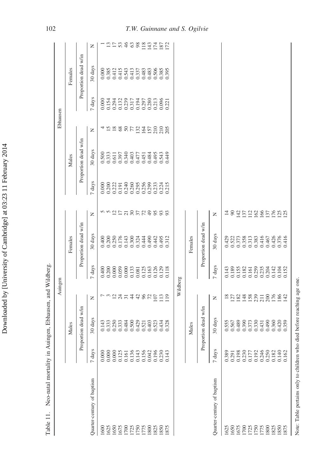| l<br>$\frac{1}{3}$                                                                                     |
|--------------------------------------------------------------------------------------------------------|
|                                                                                                        |
| $\overline{a}$<br>ļ<br>:<br>١                                                                          |
|                                                                                                        |
| ֠<br>l                                                                                                 |
|                                                                                                        |
| しゃさく<br>l                                                                                              |
|                                                                                                        |
|                                                                                                        |
|                                                                                                        |
| $\frac{1}{\epsilon}$<br>I                                                                              |
| ١                                                                                                      |
| l                                                                                                      |
|                                                                                                        |
| I                                                                                                      |
|                                                                                                        |
|                                                                                                        |
| i<br>֠<br>֧֧ׅ֧֧֧֧ׅ֧֧ׅ֧֧֧ׅ֧֧֧֧֛֧֧֧֧֧֧֧֧֧֧֧֧֧֧֧֧֚֚֚֚֚֚֚֚֚֚֚֚֚֚֚֚֚֚֚֚֚֚֚֚֚֚֚֚֚֚֡֝֓֜֝֓֝֓֝֓֜֝֓֜֝֓֜֓֝֬֝֬֝֝֬֝ |
|                                                                                                        |
|                                                                                                        |
| I.                                                                                                     |
|                                                                                                        |
| J                                                                                                      |
|                                                                                                        |
|                                                                                                        |
|                                                                                                        |
|                                                                                                        |
|                                                                                                        |
|                                                                                                        |
| ľ                                                                                                      |

Table 11. Neo-natal mortality in Auingen, Ebhausen, and Wildberg. Table 11. Neo-natal mortality in Auingen, Ebhausen, and Wildberg.

|                                                        |                                                               |                      | Auingen         |                |                      |              |                         |                         | Ebhausen         |        |                         |                                                                         |
|--------------------------------------------------------|---------------------------------------------------------------|----------------------|-----------------|----------------|----------------------|--------------|-------------------------|-------------------------|------------------|--------|-------------------------|-------------------------------------------------------------------------|
|                                                        |                                                               | Males                |                 |                | Females              |              |                         | Males                   |                  |        | Females                 |                                                                         |
|                                                        |                                                               | Proportion dead w/in |                 |                | Proportion dead w/in |              |                         | Proportion dead w/in    |                  |        | Proportion dead w/in    |                                                                         |
| Quarter-century of baptism                             | 7 days                                                        | 30 days              | Z               | $7~{\rm days}$ | 30 days              | Z            | 7 days                  | 30 days                 | z                | 7 days | 30 days                 | Z                                                                       |
| 1600                                                   |                                                               | 0.143                |                 | 0.400          | 0.400                |              | 0.000                   |                         | ₹                | 0.000  |                         |                                                                         |
| 1625                                                   |                                                               | 0.333                | rmuxmata 825    | 0.200          | 0.200                | ちょいけいかかたやおおお | 0.200                   | 0.500<br>0.333          |                  | 0.154  | 0.000<br>0.385          |                                                                         |
| 1650                                                   |                                                               | 0.250                |                 | 0.000          | 0.250                |              | 0.222<br>0.191          | 0.611                   |                  | 0.294  | 0.412                   |                                                                         |
|                                                        |                                                               | 0.333                |                 | 0.059          | 0.176                |              |                         | 0.397                   |                  | 0.132  |                         |                                                                         |
| 1672<br>1700<br>1750<br>1775<br>1800                   |                                                               | 0.484                |                 | 0.000          | 0.143                |              | 0.240                   | 0.340                   | na wa bu za 2020 | 0.239  | 0.415<br>0.543          | $\begin{array}{l} 2.77878888874724 \\ 2.778746888474724 \\ \end{array}$ |
|                                                        |                                                               | 0.500                |                 | 0.133          | 0.300                |              | 0.260                   | 0.403                   |                  | 0.317  | 0.413                   |                                                                         |
|                                                        |                                                               | 0.429                |                 | 0.081          | 0.324                |              | 0.295                   | 0.477                   |                  | 0.194  | 0.337                   |                                                                         |
|                                                        |                                                               | 0.521                |                 | 0.125          | 0.444                |              | 0.256                   | 0.451                   |                  | 0.297  | 0.483                   |                                                                         |
|                                                        |                                                               | 0.403                |                 | 0.163          | 0.490                |              |                         | 0.484                   |                  | 0.280  | 0.483                   |                                                                         |
| 1825<br>1850                                           |                                                               | 0.523                |                 | 0.126          | 0.442                |              | 0.293<br>0.233<br>0.215 | 0.443<br>0.543<br>0.449 |                  | 0.213  | 0.506<br>0.385<br>0.395 |                                                                         |
|                                                        |                                                               | 0.434                | 113             | 0.129          | 0.495                |              |                         |                         |                  | 0.096  |                         |                                                                         |
| 875                                                    |                                                               | 0.328                | $\overline{19}$ | 0.118          | 0.312                |              |                         |                         |                  | 0.221  |                         |                                                                         |
|                                                        |                                                               |                      | Wildberg        |                |                      |              |                         |                         |                  |        |                         |                                                                         |
|                                                        |                                                               | Males                |                 |                | Females              |              |                         |                         |                  |        |                         |                                                                         |
|                                                        |                                                               | Proportion dead w/in |                 |                | Proportion dead w/in |              |                         |                         |                  |        |                         |                                                                         |
| Quarter-century of baptism                             | 7 days                                                        | 30 days              | z               | 7 days         | 30 days              | Z            |                         |                         |                  |        |                         |                                                                         |
| 1625                                                   |                                                               | 0.555                |                 | 0.143          | 0.429                | 그            |                         |                         |                  |        |                         |                                                                         |
| 1650                                                   |                                                               | 0.567                |                 | 0.189          | 0.522                | $\infty$     |                         |                         |                  |        |                         |                                                                         |
|                                                        | 0.389<br>0.291<br>0.138<br>0.177<br>0.1826<br>0.3456<br>0.182 | 0.489                | 82288877        | 0.155          | 0.373                | 142          |                         |                         |                  |        |                         |                                                                         |
|                                                        |                                                               | 0.390                |                 | 0.182          | 0.358                |              |                         |                         |                  |        |                         |                                                                         |
|                                                        |                                                               | 0.373                |                 | 0.161          | 0.313                |              |                         |                         |                  |        |                         |                                                                         |
|                                                        |                                                               | 0.330                |                 | 0.259          | 0.383                | 1286         |                         |                         |                  |        |                         |                                                                         |
|                                                        |                                                               | 0.431                |                 | 0.235          | 0.416                |              |                         |                         |                  |        |                         |                                                                         |
|                                                        |                                                               | 0.490                |                 | 0.204          | 0.467                | 137<br>176   |                         |                         |                  |        |                         |                                                                         |
| 1675<br>1700<br>17150<br>17160<br>1821<br>1830<br>1831 |                                                               | 0.360                |                 | 0.142          | 0.426                |              |                         |                         |                  |        |                         |                                                                         |
|                                                        | 0.140                                                         | 0.420                | 200234          | 0.104          | 0.376                | 125          |                         |                         |                  |        |                         |                                                                         |
| 875                                                    | 0.162                                                         | 0.359                |                 | 0.152          | 0.416                |              |                         |                         |                  |        |                         |                                                                         |
|                                                        |                                                               |                      |                 |                |                      |              |                         |                         |                  |        |                         |                                                                         |

Note: Table pertains only to children who died before reaching age one. Note: Table pertains only to children who died before reaching age one.

<span id="page-26-0"></span>

# 102 T.W. Guinnane and S. Ogilvie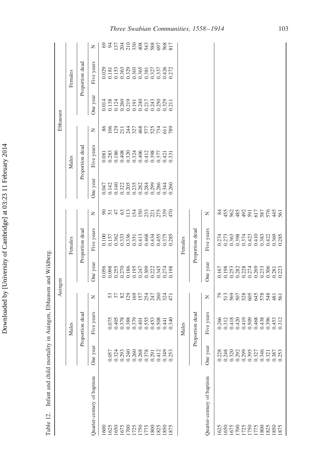| J                                   |
|-------------------------------------|
|                                     |
| molity in Aningen I?<br>i<br>١<br>i |
|                                     |
| cost can clase a mac<br>Ì           |
| i<br>$\ddot{\cdot}$<br>٦            |

<span id="page-27-0"></span>

|          | Females | Proportion dead | Z<br>Five years            |       | $0.029$<br>$0.181$      | 0.153 | 0.363                            | 0.329 |       | $\begin{array}{c} 0.303 \\ 0.365 \\ 0.381 \\ 0.327 \\ 0.337 \end{array}$ |       |                         |       |                  | 568<br>817<br>0.426<br>0.272                             |         |                 |                            |       |                |       |  |                                                                                                                                                                                                                                                                                                     |  |                         |
|----------|---------|-----------------|----------------------------|-------|-------------------------|-------|----------------------------------|-------|-------|--------------------------------------------------------------------------|-------|-------------------------|-------|------------------|----------------------------------------------------------|---------|-----------------|----------------------------|-------|----------------|-------|--|-----------------------------------------------------------------------------------------------------------------------------------------------------------------------------------------------------------------------------------------------------------------------------------------------------|--|-------------------------|
|          |         |                 | One year                   | 0.014 | 0.138                   | 0.124 | 0.260                            | 0.219 | 0.191 | 0.240                                                                    | 0.217 | 0.243                   |       |                  | $\begin{array}{c} 0.250 \\ 0.329 \\ 0.211 \end{array}$   |         |                 |                            |       |                |       |  |                                                                                                                                                                                                                                                                                                     |  |                         |
| Ebhausen |         |                 | z                          |       |                         |       |                                  |       |       |                                                                          |       |                         |       |                  | 789                                                      |         |                 |                            |       |                |       |  |                                                                                                                                                                                                                                                                                                     |  |                         |
|          | Males   | Proportion dead | Five years                 |       | 0.081<br>0.283<br>0.186 |       |                                  |       |       | 0.324<br>0.324<br>0.324                                                  |       | 0.412<br>0.398<br>0.377 |       |                  | 0.421                                                    |         |                 |                            |       |                |       |  |                                                                                                                                                                                                                                                                                                     |  |                         |
|          |         |                 | One year                   | 0.047 | 0.142                   | 0.140 |                                  |       |       |                                                                          |       |                         |       |                  |                                                          |         |                 |                            |       |                |       |  |                                                                                                                                                                                                                                                                                                     |  |                         |
|          |         |                 | Z                          |       | 874                     |       |                                  |       |       |                                                                          |       |                         |       |                  | chromate contract                                        |         |                 | z                          |       |                |       |  | $84888982882485$                                                                                                                                                                                                                                                                                    |  |                         |
|          | Females | Proportion dead | Five years                 |       | 0.100<br>0.157          |       | 0.362<br>0.335<br>0.355<br>0.351 |       |       | 0.413                                                                    | 0.468 | 0.434                   | 0.455 |                  | 0.375                                                    | Females | Proportion dead | Five years                 |       |                |       |  |                                                                                                                                                                                                                                                                                                     |  |                         |
|          |         |                 | One year                   | 0.056 | 0.098                   |       | 0.255                            | 0.186 | 0.195 | 0.247                                                                    | 0.309 |                         |       |                  | 0.235<br>0.345<br>0.274<br>0.198                         |         |                 | One year                   | 0.167 |                |       |  | $\begin{array}{l} 0.198 \\ 0.253 \\ 0.238 \\ 0.212 \\ 0.338 \\ 0.248 \\ 0.233 \\ 0.233 \\ 0.233 \\ 0.233 \\ 0.233 \\ 0.233 \\ 0.233 \\ 0.233 \\ 0.233 \\ 0.233 \\ 0.233 \\ 0.233 \\ 0.233 \\ 0.233 \\ 0.233 \\ 0.233 \\ 0.233 \\ 0.233 \\ 0.233 \\ 0.233 \\ 0.233 \\ 0.233 \\ 0.233 \\ 0.233 \\ 0.$ |  |                         |
| Auingen  |         |                 | Z                          |       |                         |       |                                  |       |       | na sa ganya                                                              |       |                         |       | 821<br>825       |                                                          |         |                 | z                          |       |                |       |  | <b>PESSESSES</b>                                                                                                                                                                                                                                                                                    |  |                         |
|          | Males   | Proportion dead | Five years                 |       | 0.075                   | 0.405 | 0.378                            | 0.388 | 0.379 | 0.401                                                                    | 0.555 | 0.453                   |       | $0.508$<br>0.441 | 0.340                                                    | Males   | Proportion dead | Five years                 | 0.266 | 0.312<br>0.418 | 0.420 |  | 0.419<br>0.509<br>0.438<br>0.438                                                                                                                                                                                                                                                                    |  | 0.396<br>0.453<br>0.312 |
|          |         |                 | One year                   |       | 0.057                   |       |                                  |       |       | 0.324<br>0.293<br>0.240<br>0.266<br>0.378<br>0.378                       |       |                         |       | 0.412<br>0.349   | 0.253                                                    |         |                 | One year                   | 0.228 |                |       |  | $\begin{array}{l} 0.248 \\ 0.320 \\ 0.029 \\ 0.039 \\ 0.039 \\ 0.039 \\ 0.037 \\ 0.037 \\ 0.037 \\ 0.037 \\ 0.037 \\ 0.037 \\ 0.039 \\ 0.039 \\ 0.039 \\ 0.033 \\ 0.039 \\ 0.039 \\ 0.033 \\ 0.039 \\ 0.039 \\ 0.039 \\ 0.039 \\ 0.039 \\ 0.039 \\ 0.039 \\ 0.039 \\ 0.039 \\ 0.039 \\ 0.039 \\ 0.$ |  |                         |
|          |         |                 | Quarter-century of baptism | 1600  |                         |       |                                  |       |       |                                                                          |       |                         |       |                  | 1625<br>1678 1780<br>1780 1823<br>1824 1780<br>1825 1824 |         |                 | Quarter-century of baptism |       |                |       |  | 1625<br>1650 1725<br>1725 1736<br>1825 1836<br>1875 1887                                                                                                                                                                                                                                            |  |                         |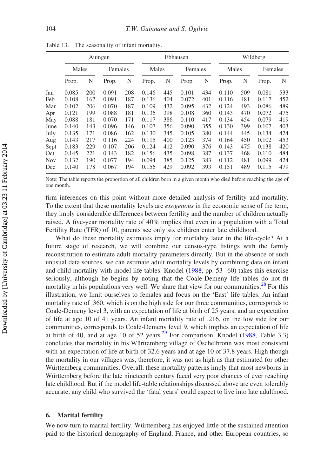|            |       |     | Auingen |     |       |     | Ebhausen |     |       |     | Wildberg |     |
|------------|-------|-----|---------|-----|-------|-----|----------|-----|-------|-----|----------|-----|
|            | Males |     | Females |     | Males |     | Females  |     | Males |     | Females  |     |
|            | Prop. | N   | Prop.   | N   | Prop. | N   | Prop.    | N   | Prop. | N   | Prop.    | N   |
| Jan        | 0.085 | 200 | 0.091   | 208 | 0.146 | 445 | 0.101    | 434 | 0.110 | 509 | 0.081    | 533 |
| Feb        | 0.108 | 167 | 0.091   | 187 | 0.136 | 404 | 0.072    | 401 | 0.116 | 481 | 0.117    | 452 |
| Mar        | 0.102 | 206 | 0.070   | 187 | 0.109 | 432 | 0.095    | 432 | 0.124 | 493 | 0.086    | 489 |
| Apr        | 0.121 | 199 | 0.088   | 181 | 0.136 | 398 | 0.108    | 360 | 0.143 | 470 | 0.072    | 475 |
| May        | 0.088 | 181 | 0.070   | 171 | 0.117 | 386 | 0.110    | 417 | 0.134 | 454 | 0.079    | 419 |
| June       | 0.140 | 143 | 0.096   | 146 | 0.107 | 356 | 0.090    | 355 | 0.130 | 399 | 0.107    | 403 |
| July       | 0.135 | 171 | 0.086   | 162 | 0.130 | 345 | 0.105    | 380 | 0.144 | 445 | 0.134    | 424 |
| Aug        | 0.143 | 217 | 0.116   | 224 | 0.115 | 400 | 0.123    | 374 | 0.164 | 450 | 0.102    | 453 |
| Sept       | 0.183 | 229 | 0.107   | 206 | 0.124 | 412 | 0.090    | 376 | 0.143 | 475 | 0.138    | 420 |
| Oct        | 0.145 | 221 | 0.143   | 182 | 0.156 | 435 | 0.098    | 387 | 0.137 | 468 | 0.110    | 484 |
| <b>Nov</b> | 0.132 | 190 | 0.077   | 194 | 0.094 | 385 | 0.125    | 383 | 0.112 | 481 | 0.099    | 424 |
| Dec        | 0.140 | 178 | 0.067   | 194 | 0.156 | 429 | 0.092    | 393 | 0.151 | 489 | 0.115    | 479 |

<span id="page-28-0"></span>Table 13. The seasonality of infant mortality.

Note: The table reports the proportion of all children born in a given month who died before reaching the age of one month.

firm inferences on this point without more detailed analysis of fertility and mortality. To the extent that these mortality levels are exogenous in the economic sense of the term, they imply considerable differences between fertility and the number of children actually raised. A five-year mortality rate of 40% implies that even in a population with a Total Fertility Rate (TFR) of 10, parents see only six children enter late childhood.

What do these mortality estimates imply for mortality later in the life-cycle? At a future stage of research, we will combine our census-type listings with the family reconstitution to estimate adult mortality parameters directly. But in the absence of such unusual data sources, we can estimate adult mortality levels by combining data on infant and child mortality with model life tables. Knodel ([1988,](#page-40-5) pp. 53 – 60) takes this exercise seriously, although he begins by noting that the Coale-Demeny life tables do not fit mortality in his populations very well. We share that view for our communities.<sup>[28](#page-37-11)</sup> For this illustration, we limit ourselves to females and focus on the 'East' life tables. An infant mortality rate of .360, which is on the high side for our three communities, corresponds to Coale-Demeny level 3, with an expectation of life at birth of 25 years, and an expectation of life at age 10 of 41 years. An infant mortality rate of .216, on the low side for our communities, corresponds to Coale-Demeny level 9, which implies an expectation of life at birth of 40, and at age 10 of 52 years.<sup>[29](#page-37-12)</sup> For comparison, Knodel [\(1988](#page-40-5), Table 3.3) concludes that mortality in his Württemberg village of Öschelbronn was most consistent with an expectation of life at birth of 32.6 years and at age 10 of 37.8 years. High though the mortality in our villages was, therefore, it was not as high as that estimated for other Württemberg communities. Overall, these mortality patterns imply that most newborns in Württemberg before the late nineteenth century faced very poor chances of ever reaching late childhood. But if the model life-table relationships discussed above are even tolerably accurate, any child who survived the 'fatal years' could expect to live into late adulthood.

#### 6. Marital fertility

We now turn to marital fertility. Württemberg has enjoyed little of the sustained attention paid to the historical demography of England, France, and other European countries, so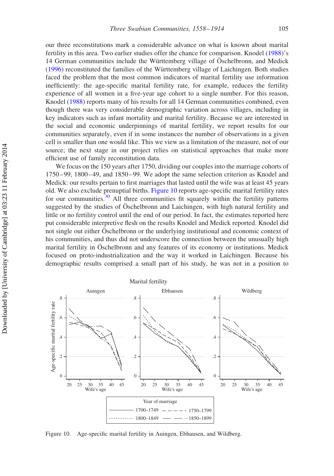our three reconstitutions mark a considerable advance on what is known about marital fertility in this area. Two earlier studies offer the chance for comparison. Knodel [\(1988](#page-40-5))'s 14 German communities include the Württemberg village of Öschelbronn, and Medick ([1996\)](#page-40-7) reconstituted the families of the Wu¨rttemberg village of Laichingen. Both studies faced the problem that the most common indicators of marital fertility use information inefficiently: the age-specific marital fertility rate, for example, reduces the fertility experience of all women in a five-year age cohort to a single number. For this reason, Knodel [\(1988](#page-40-5)) reports many of his results for all 14 German communities combined, even though there was very considerable demographic variation across villages, including in key indicators such as infant mortality and marital fertility. Because we are interested in the social and economic underpinnings of marital fertility, we report results for our communities separately, even if in some instances the number of observations in a given cell is smaller than one would like. This we view as a limitation of the measure, not of our source; the next stage in our project relies on statistical approaches that make more efficient use of family reconstitution data.

We focus on the 150 years after 1750, dividing our couples into the marriage cohorts of 1750 –99, 1800– 49, and 1850 –99. We adopt the same selection criterion as Knodel and Medick: our results pertain to first marriages that lasted until the wife was at least 45 years old. We also exclude prenuptial births. [Figure 10](#page-29-0) reports age-specific marital fertility rates for our communities.<sup>[30](#page-38-4)</sup> All three communities fit squarely within the fertility patterns suggested by the studies of Öschelbronn and Laichingen, with high natural fertility and little or no fertility control until the end of our period. In fact, the estimates reported here put considerable interpretive flesh on the results Knodel and Medick reported. Knodel did not single out either Oschelbronn or the underlying institutional and economic context of his communities, and thus did not underscore the connection between the unusually high marital fertility in Oschelbronn and any features of its economy or institutions. Medick focused on proto-industrialization and the way it worked in Laichingen. Because his demographic results comprised a small part of his study, he was not in a position to

<span id="page-29-0"></span>

Figure 10. Age-specific marital fertility in Auingen, Ebhausen, and Wildberg.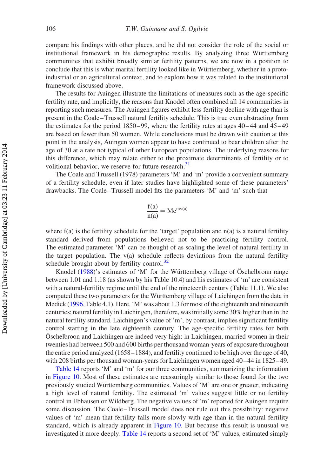compare his findings with other places, and he did not consider the role of the social or institutional framework in his demographic results. By analyzing three Württemberg communities that exhibit broadly similar fertility patterns, we are now in a position to conclude that this is what marital fertility looked like in Württemberg, whether in a protoindustrial or an agricultural context, and to explore how it was related to the institutional framework discussed above.

The results for Auingen illustrate the limitations of measures such as the age-specific fertility rate, and implicitly, the reasons that Knodel often combined all 14 communities in reporting such measures. The Auingen figures exhibit less fertility decline with age than is present in the Coale –Trussell natural fertility schedule. This is true even abstracting from the estimates for the period  $1850-99$ , where the fertility rates at ages  $40-44$  and  $45-49$ are based on fewer than 50 women. While conclusions must be drawn with caution at this point in the analysis, Auingen women appear to have continued to bear children after the age of 30 at a rate not typical of other European populations. The underlying reasons for this difference, which may relate either to the proximate determinants of fertility or to volitional behavior, we reserve for future research.<sup>[31](#page-38-5)</sup>

The Coale and Trussell (1978) parameters 'M' and 'm' provide a convenient summary of a fertility schedule, even if later studies have highlighted some of these parameters' drawbacks. The Coale–Trussell model fits the parameters 'M' and 'm' such that

$$
\frac{f(a)}{n(a)} = Me^{mv(a)}
$$

where  $f(a)$  is the fertility schedule for the 'target' population and  $n(a)$  is a natural fertility standard derived from populations believed not to be practicing fertility control. The estimated parameter 'M' can be thought of as scaling the level of natural fertility in the target population. The  $v(a)$  schedule reflects deviations from the natural fertility schedule brought about by fertility control.<sup>[32](#page-38-6)</sup>

Knodel  $(1988)$ 's estimates of 'M' for the Württemberg village of Öschelbronn range between 1.01 and 1.18 (as shown by his Table 10.4) and his estimates of 'm' are consistent with a natural-fertility regime until the end of the nineteenth century (Table 11.1). We also computed these two parameters for the Württemberg village of Laichingen from the data in Medick ([1996](#page-40-7), Table 4.1). Here, 'M' was about 1.3 for most of the eighteenth and nineteenth centuries; natural fertility in Laichingen, therefore, was initially some 30% higher than in the natural fertility standard. Laichingen's value of 'm', by contrast, implies significant fertility control starting in the late eighteenth century. The age-specific fertility rates for both Oschelbroon and Laichingen are indeed very high: in Laichingen, married women in their twenties had between 500 and 600 births per thousand woman-years of exposure throughout the entire period analyzed (1658–1884), and fertility continued to be high over the age of 40, with 208 births per thousand woman-years for Laichingen women aged 40–44 in 1825–49.

[Table 14](#page-31-0) reports 'M' and 'm' for our three communities, summarizing the information in [Figure 10](#page-29-0). Most of these estimates are reassuringly similar to those found for the two previously studied Württemberg communities. Values of 'M' are one or greater, indicating a high level of natural fertility. The estimated 'm' values suggest little or no fertility control in Ebhausen or Wildberg. The negative values of 'm' reported for Auingen require some discussion. The Coale-Trussell model does not rule out this possibility: negative values of 'm' mean that fertility falls more slowly with age than in the natural fertility standard, which is already apparent in [Figure 10.](#page-29-0) But because this result is unusual we investigated it more deeply. [Table 14](#page-31-0) reports a second set of 'M' values, estimated simply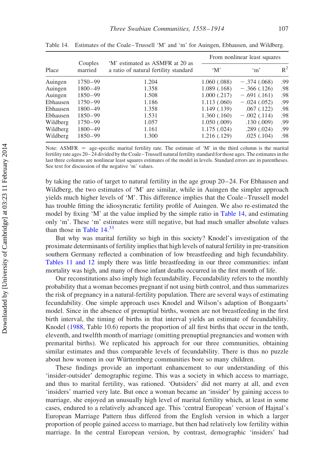|          |                    |                                                                          |                     | From nonlinear least squares |       |
|----------|--------------------|--------------------------------------------------------------------------|---------------------|------------------------------|-------|
| Place    | Couples<br>married | 'M' estimated as ASMFR at 20 as<br>a ratio of natural fertility standard | $^{\circ}M^{\circ}$ | $\cdot$ m'                   | $R^2$ |
| Auingen  | 1750-99            | 1.204                                                                    | 1.060(0.088)        | $-.374(.068)$                | .99   |
| Auingen  | $1800 - 49$        | 1.358                                                                    | 1.089(0.168)        | $-.366(.126)$                | .98   |
| Auingen  | $1850 - 99$        | 1.508                                                                    | 1.000(.217)         | $-.691(.161)$                | .98   |
| Ebhausen | 1750-99            | 1.186                                                                    | 1.113(0.060)        | $-.024(.052)$                | .99   |
| Ebhausen | $1800 - 49$        | 1.358                                                                    | 1.149(0.139)        | $.067$ $(.122)$              | .98   |
| Ebhausen | $1850 - 99$        | 1.531                                                                    | 1.360(0.160)        | $-.002(.114)$                | .98   |
| Wildberg | $1750 - 99$        | 1.057                                                                    | 1.050(.009)         | .130(.009)                   | .99   |
| Wildberg | $1800 - 49$        | 1.161                                                                    | 1.175(.024)         | .289(.024)                   | .99   |
| Wildberg | 1850-99            | 1.300                                                                    | 1.216 (.129)        | .025(.104)                   | .98   |

<span id="page-31-0"></span>Table 14. Estimates of the Coale–Trussell 'M' and 'm' for Auingen, Ebhausen, and Wildberg.

Note:  $ASMFR$  = age-specific marital fertility rate. The estimate of 'M' in the third column is the marital fertility rate ages 20–24 divided by the Coale–Trussell natural fertility standard for those ages. The estimates in the last three columns are nonlinear least squares estimates of the model in levels. Standard errors are in parentheses. See text for discussion of the negative 'm' values.

by taking the ratio of target to natural fertility in the age group  $20-24$ . For Ebhausen and Wildberg, the two estimates of 'M' are similar, while in Auingen the simpler approach yields much higher levels of 'M'. This difference implies that the Coale –Trussell model has trouble fitting the idiosyncratic fertility profile of Auingen. We also re-estimated the model by fixing 'M' at the value implied by the simple ratio in [Table 14](#page-31-0), and estimating only 'm'. These 'm' estimates were still negative, but had much smaller absolute values than those in Table  $14.<sup>33</sup>$  $14.<sup>33</sup>$  $14.<sup>33</sup>$ 

But why was marital fertility so high in this society? Knodel's investigation of the proximate determinants of fertility implies that high levels of natural fertility in pre-transition southern Germany reflected a combination of low breastfeeding and high fecundability. [Tables 11 and 12](#page-26-0) imply there was little breastfeeding in our three communities: infant mortality was high, and many of those infant deaths occurred in the first month of life.

Our reconstitutions also imply high fecundability. Fecundability refers to the monthly probability that a woman becomes pregnant if not using birth control, and thus summarizes the risk of pregnancy in a natural-fertility population. There are several ways of estimating fecundability. One simple approach uses Knodel and Wilson's adaption of Bongaarts' model. Since in the absence of prenuptial births, women are not breastfeeding in the first birth interval, the timing of births in that interval yields an estimate of fecundability. Knodel ([1988,](#page-40-5) Table 10.6) reports the proportion of all first births that occur in the tenth, eleventh, and twelfth month of marriage (omitting prenuptial pregnancies and women with premarital births). We replicated his approach for our three communities, obtaining similar estimates and thus comparable levels of fecundability. There is thus no puzzle about how women in our Württemberg communities bore so many children.

These findings provide an important enhancement to our understanding of this 'insider-outsider' demographic regime. This was a society in which access to marriage, and thus to marital fertility, was rationed. 'Outsiders' did not marry at all, and even 'insiders' married very late. But once a woman became an 'insider' by gaining access to marriage, she enjoyed an unusually high level of marital fertility which, at least in some cases, endured to a relatively advanced age. This 'central European' version of Hajnal's European Marriage Pattern thus differed from the English version in which a larger proportion of people gained access to marriage, but then had relatively low fertility within marriage. In the central European version, by contrast, demographic 'insiders' had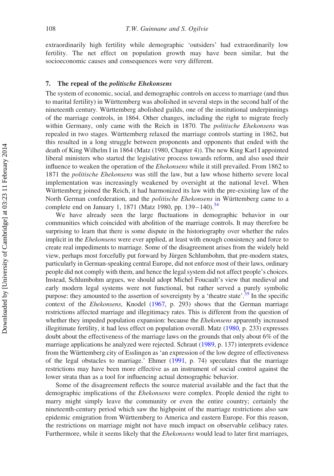extraordinarily high fertility while demographic 'outsiders' had extraordinarily low fertility. The net effect on population growth may have been similar, but the socioeconomic causes and consequences were very different.

## 7. The repeal of the politische Ehekonsens

The system of economic, social, and demographic controls on access to marriage (and thus to marital fertility) in Wu¨rttemberg was abolished in several steps in the second half of the nineteenth century. Wu¨rttemberg abolished guilds, one of the institutional underpinnings of the marriage controls, in 1864. Other changes, including the right to migrate freely within Germany, only came with the Reich in 1870. The *politische Ehekonsens* was repealed in two stages. Württemberg relaxed the marriage controls starting in 1862, but this resulted in a long struggle between proponents and opponents that ended with the death of King Wilhelm I in 1864 (Matz (1980, Chapter 4)). The new King Karl I appointed liberal ministers who started the legislative process towards reform, and also used their influence to weaken the operation of the Ehekonsens while it still prevailed. From 1862 to 1871 the politische Ehekonsens was still the law, but a law whose hitherto severe local implementation was increasingly weakened by oversight at the national level. When Württemberg joined the Reich, it had harmonized its law with the pre-existing law of the North German confederation, and the *politische Ehekonsens* in Württemberg came to a complete end on January 1, 1871 (Matz 1980, pp. 139–140).<sup>[34](#page-38-8)</sup>

We have already seen the large fluctuations in demographic behavior in our communities which coincided with abolition of the marriage controls. It may therefore be surprising to learn that there is some dispute in the historiography over whether the rules implicit in the *Ehekonsens* were ever applied, at least with enough consistency and force to create real impediments to marriage. Some of the disagreement arises from the widely held view, perhaps most forcefully put forward by Jürgen Schlumbohm, that pre-modern states, particularly in German-speaking central Europe, did not enforce most of their laws, ordinary people did not comply with them, and hence the legal system did not affect people's choices. Instead, Schlumbohm argues, we should adopt Michel Foucault's view that medieval and early modern legal systems were not functional, but rather served a purely symbolic purpose: they amounted to the assertion of sovereignty by a 'theatre state'.<sup>[35](#page-38-9)</sup> In the specific context of the Ehekonsens, Knodel ([1967](#page-40-0), p. 293) shows that the German marriage restrictions affected marriage and illegitimacy rates. This is different from the question of whether they impeded population expansion: because the *Ehekonsens* apparently increased illegitimate fertility, it had less effect on population overall. Matz ([1980](#page-40-1), p. 233) expresses doubt about the effectiveness of the marriage laws on the grounds that only about 6% of the marriage applications he analyzed were rejected. Schraut ([1989](#page-41-2), p. 137) interprets evidence from the Württemberg city of Esslingen as 'an expression of the low degree of effectiveness of the legal obstacles to marriage.' Ehmer [\(1991,](#page-39-0) p. 74) speculates that the marriage restrictions may have been more effective as an instrument of social control against the lower strata than as a tool for influencing actual demographic behavior.

Some of the disagreement reflects the source material available and the fact that the demographic implications of the Ehekonsens were complex. People denied the right to marry might simply leave the community or even the entire country; certainly the nineteenth-century period which saw the highpoint of the marriage restrictions also saw epidemic emigration from Württemberg to America and eastern Europe. For this reason, the restrictions on marriage might not have much impact on observable celibacy rates. Furthermore, while it seems likely that the *Ehekonsens* would lead to later first marriages,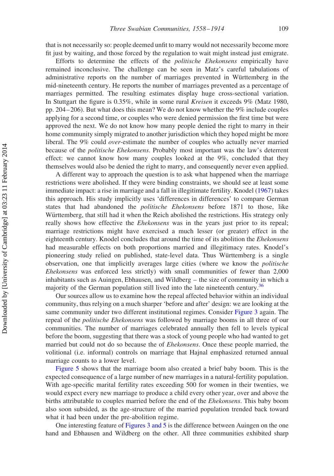that is not necessarily so: people deemed unfit to marry would not necessarily become more fit just by waiting, and those forced by the regulation to wait might instead just emigrate.

Efforts to determine the effects of the politische Ehekonsens empirically have remained inconclusive. The challenge can be seen in Matz's careful tabulations of administrative reports on the number of marriages prevented in Wu¨rttemberg in the mid-nineteenth century. He reports the number of marriages prevented as a percentage of marriages permitted. The resulting estimates display huge cross-sectional variation. In Stuttgart the figure is 0.35%, while in some rural Kreisen it exceeds 9% (Matz 1980, pp. 204– 206). But what does this mean? We do not know whether the 9% include couples applying for a second time, or couples who were denied permission the first time but were approved the next. We do not know how many people denied the right to marry in their home community simply migrated to another jurisdiction which they hoped might be more liberal. The 9% could over-estimate the number of couples who actually never married because of the politische Ehekonsens. Probably most important was the law's deterrent effect: we cannot know how many couples looked at the 9%, concluded that they themselves would also be denied the right to marry, and consequently never even applied.

A different way to approach the question is to ask what happened when the marriage restrictions were abolished. If they were binding constraints, we should see at least some immediate impact: a rise in marriage and a fall in illegitimate fertility. Knodel [\(1967](#page-40-0)) takes this approach. His study implicitly uses 'differences in differences' to compare German states that had abandoned the politische Ehekonsens before 1871 to those, like Württemberg, that still had it when the Reich abolished the restrictions. His strategy only really shows how effective the *Ehekonsens* was in the years just prior to its repeal; marriage restrictions might have exercised a much lesser (or greater) effect in the eighteenth century. Knodel concludes that around the time of its abolition the *Ehekonsens* had measurable effects on both proportions married and illegitimacy rates. Knodel's pioneering study relied on published, state-level data. Thus Wu¨rttemberg is a single observation, one that implicitly averages large cities (where we know the politische Ehekonsens was enforced less strictly) with small communities of fewer than 2,000 inhabitants such as Auingen, Ebhausen, and Wildberg – the size of community in which a majority of the German population still lived into the late nineteenth century.<sup>[36](#page-38-10)</sup>

Our sources allow us to examine how the repeal affected behavior within an individual community, thus relying on a much sharper 'before and after' design: we are looking at the same community under two different institutional regimes. Consider [Figure 3](#page-11-0) again. The repeal of the politische Ehekonsens was followed by marriage booms in all three of our communities. The number of marriages celebrated annually then fell to levels typical before the boom, suggesting that there was a stock of young people who had wanted to get married but could not do so because the of *Ehekonsens*. Once these people married, the volitional (i.e. informal) controls on marriage that Hajnal emphasized returned annual marriage counts to a lower level.

[Figure 5](#page-12-0) shows that the marriage boom also created a brief baby boom. This is the expected consequence of a large number of new marriages in a natural-fertility population. With age-specific marital fertility rates exceeding 500 for women in their twenties, we would expect every new marriage to produce a child every other year, over and above the births attributable to couples married before the end of the Ehekonsens. This baby boom also soon subsided, as the age-structure of the married population trended back toward what it had been under the pre-abolition regime.

One interesting feature of [Figures 3 and 5](#page-11-0) is the difference between Auingen on the one hand and Ebhausen and Wildberg on the other. All three communities exhibited sharp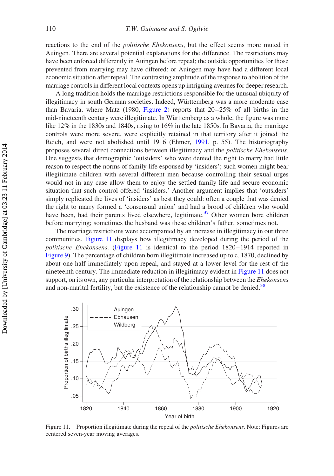reactions to the end of the politische Ehekonsens, but the effect seems more muted in Auingen. There are several potential explanations for the difference. The restrictions may have been enforced differently in Auingen before repeal; the outside opportunities for those prevented from marrying may have differed; or Auingen may have had a different local economic situation after repeal. The contrasting amplitude of the response to abolition of the marriage controls in different local contexts opens up intriguing avenues for deeper research.

A long tradition holds the marriage restrictions responsible for the unusual ubiquity of illegitimacy in south German societies. Indeed, Württemberg was a more moderate case than Bavaria, where Matz (1980, [Figure 2](#page-4-1)) reports that  $20-25\%$  of all births in the mid-nineteenth century were illegitimate. In Württemberg as a whole, the figure was more like 12% in the 1830s and 1840s, rising to 16% in the late 1850s. In Bavaria, the marriage controls were more severe, were explicitly retained in that territory after it joined the Reich, and were not abolished until 1916 (Ehmer, [1991](#page-39-0), p. 55). The historiography proposes several direct connections between illegitimacy and the politische Ehekonsens. One suggests that demographic 'outsiders' who were denied the right to marry had little reason to respect the norms of family life espoused by 'insiders'; such women might bear illegitimate children with several different men because controlling their sexual urges would not in any case allow them to enjoy the settled family life and secure economic situation that such control offered 'insiders.' Another argument implies that 'outsiders' simply replicated the lives of 'insiders' as best they could: often a couple that was denied the right to marry formed a 'consensual union' and had a brood of children who would have been, had their parents lived elsewhere, legitimate.<sup>[37](#page-38-11)</sup> Other women bore children before marrying; sometimes the husband was these children's father, sometimes not.

The marriage restrictions were accompanied by an increase in illegitimacy in our three communities. [Figure 11](#page-34-0) displays how illegitimacy developed during the period of the politische Ehekonsens. [\(Figure 11](#page-34-0) is identical to the period 1820–1914 reported in [Figure 9](#page-14-0)). The percentage of children born illegitimate increased up to c. 1870, declined by about one-half immediately upon repeal, and stayed at a lower level for the rest of the nineteenth century. The immediate reduction in illegitimacy evident in [Figure 11](#page-34-0) does not support, on its own, any particular interpretation of the relationship between the Ehekonsens and non-marital fertility, but the existence of the relationship cannot be denied.<sup>[38](#page-38-12)</sup>

<span id="page-34-0"></span>

Figure 11. Proportion illegitimate during the repeal of the *politische Ehekonsens*. Note: Figures are centered seven-year moving averages.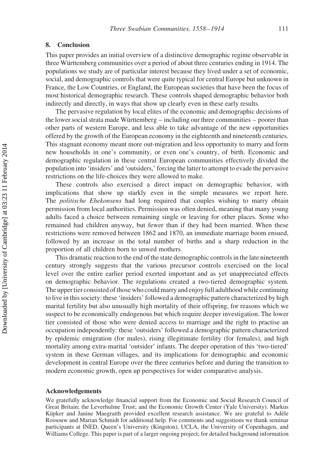## 8. Conclusion

This paper provides an initial overview of a distinctive demographic regime observable in three Wu¨rttemberg communities over a period of about three centuries ending in 1914. The populations we study are of particular interest because they lived under a set of economic, social, and demographic controls that were quite typical for central Europe but unknown in France, the Low Countries, or England, the European societies that have been the focus of most historical demographic research. These controls shaped demographic behavior both indirectly and directly, in ways that show up clearly even in these early results.

The pervasive regulation by local elites of the economic and demographic decisions of the lower social strata made Württemberg – including our three communities – poorer than other parts of western Europe, and less able to take advantage of the new opportunities offered by the growth of the European economy in the eighteenth and nineteenth centuries. This stagnant economy meant more out-migration and less opportunity to marry and form new households in one's community, or even one's country, of birth. Economic and demographic regulation in these central European communities effectively divided the population into 'insiders' and 'outsiders,' forcing the latter to attempt to evade the pervasive restrictions on the life-choices they were allowed to make.

These controls also exercised a direct impact on demographic behavior, with implications that show up starkly even in the simple measures we report here. The politische Ehekonsens had long required that couples wishing to marry obtain permission from local authorities. Permission was often denied, meaning that many young adults faced a choice between remaining single or leaving for other places. Some who remained had children anyway, but fewer than if they had been married. When these restrictions were removed between 1862 and 1870, an immediate marriage boom ensued, followed by an increase in the total number of births and a sharp reduction in the proportion of all children born to unwed mothers.

This dramatic reaction to the end of the state demographic controls in the late nineteenth century strongly suggests that the various precursor controls exercised on the local level over the entire earlier period exerted important and as yet unappreciated effects on demographic behavior. The regulations created a two-tiered demographic system. The upper tier consisted of those who could marry and enjoy full adulthood while continuing to live in this society: these 'insiders' followed a demographic pattern characterized by high marital fertility but also unusually high mortality of their offspring, for reasons which we suspect to be economically endogenous but which require deeper investigation. The lower tier consisted of those who were denied access to marriage and the right to practise an occupation independently: these 'outsiders' followed a demographic pattern characterized by epidemic emigration (for males), rising illegitimate fertility (for females), and high mortality among extra-marital 'outsider' infants. The deeper operation of this 'two-tiered' system in these German villages, and its implications for demographic and economic development in central Europe over the three centuries before and during the transition to modern economic growth, open up perspectives for wider comparative analysis.

### Acknowledgements

We gratefully acknowledge financial support from the Economic and Social Research Council of Great Britain; the Leverhulme Trust; and the Economic Growth Center (Yale University). Markus Küpker and Janine Maegraith provided excellent research assistance. We are grateful to Adèle Rossouw and Marian Schmidt for additional help. For comments and suggestions we thank seminar participants at INED, Queen's University (Kingston), UCLA, the University of Copenhagen, and Williams College. This paper is part of a larger ongoing project; for detailed background information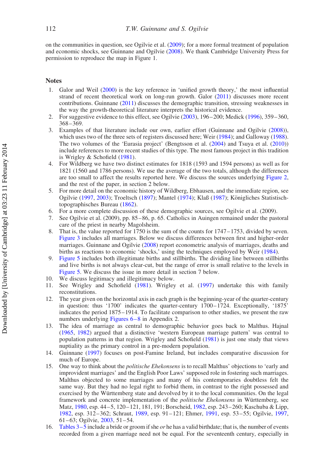on the communities in question, see Ogilvie et al. [\(2009\)](#page-41-6); for a more formal treatment of population and economic shocks, see Guinnane and Ogilvie [\(2008](#page-39-7)). We thank Cambridge University Press for permission to reproduce the map in Figure 1.

## Notes

- <span id="page-36-0"></span>1. Galor and Weil [\(2000](#page-39-14)) is the key reference in 'unified growth theory,' the most influential strand of recent theoretical work on long-run growth. Galor ([2011\)](#page-39-15) discusses more recent contributions. Guinnane ([2011\)](#page-39-16) discusses the demographic transition, stressing weaknesses in the way the growth-theoretical literature interprets the historical evidence.
- <span id="page-36-1"></span>2. For suggestive evidence to this effect, see Ogilvie [\(2003](#page-41-1)), 196–200; Medick [\(1996](#page-40-7)), 359–360, 368– 369.
- <span id="page-36-2"></span>3. Examples of that literature include our own, earlier effort (Guinnane and Ogilvie ([2008\)](#page-39-7)), which uses two of the three sets of registers discussed here; Weir ([1984\)](#page-42-5); and Galloway ([1988\)](#page-39-17). The two volumes of the 'Eurasia project' (Bengtsson et al. [\(2004](#page-38-13)) and Tsuya et al. [\(2010\)](#page-42-6)) include references to more recent studies of this type. The most famous project in this tradition is Wrigley & Schofield ([1981\)](#page-42-7).
- <span id="page-36-3"></span>4. For Wildberg we have two distinct estimates for 1818 (1593 and 1594 persons) as well as for 1821 (1560 and 1786 persons). We use the average of the two totals, although the differences are too small to affect the results reported here. We discuss the sources underlying [Figure 2,](#page-4-1) and the rest of the paper, in section 2 below.
- <span id="page-36-4"></span>5. For more detail on the economic history of Wildberg, Ebhausen, and the immediate region, see Ogilvie ([1997,](#page-40-11) [2003\)](#page-41-1); Troeltsch [\(1897](#page-42-2)); Mantel [\(1974](#page-40-14)); Klaß [\(1987\)](#page-40-15); Königliches Statistischtopographisches Bureau [\(1862](#page-40-16)).
- <span id="page-36-6"></span><span id="page-36-5"></span>6. For a more complete discussion of these demographic sources, see Ogilvie et al. (2009).
- 7. See Ogilvie et al. (2009), pp. 85 86, p. 65. Catholics in Auingen remained under the pastoral care of the priest in nearby Magolsheim.
- <span id="page-36-7"></span>8. That is, the value reported for 1750 is the sum of the counts for 1747– 1753, divided by seven. [Figure 3](#page-11-0) includes all marriages. Below we discuss differences between first and higher-order marriages. Guinnane and Ogilvie [\(2008](#page-39-7)) report econometric analysis of marriages, deaths and births as reactions to economic 'shocks,' using the techniques employed by Weir [\(1984](#page-42-5)).
- <span id="page-36-8"></span>[Figure 5](#page-12-0) includes both illegitimate births and stillbirths. The dividing line between stillbirths and live births is not always clear-cut, but the range of error is small relative to the levels in [Figure 5](#page-12-0). We discuss the issue in more detail in section 7 below.
- <span id="page-36-10"></span><span id="page-36-9"></span>10. We discuss legitimacy and illegitimacy below.
- 11. See Wrigley and Schofield ([1981\)](#page-42-7). Wrigley et al. ([1997\)](#page-42-3) undertake this with family reconstitutions.
- <span id="page-36-11"></span>12. The year given on the horizontal axis in each graph is the beginning-year of the quarter-century in question: thus '1700' indicates the quarter-century 1700– 1724. Exceptionally, '1875' indicates the period 1875– 1914. To facilitate comparison to other studies, we present the raw numbers underlying Figures 6–8 in Appendix 2.
- <span id="page-36-12"></span>13. The idea of marriage as central to demographic behavior goes back to Malthus. Hajnal [\(1965](#page-39-8), [1982](#page-39-9)) argued that a distinctive 'western European marriage pattern' was central to population patterns in that region. Wrigley and Schofield [\(1981](#page-42-7)) is just one study that views nuptiality as the primary control in a pre-modern population.
- <span id="page-36-13"></span>14. Guinnane [\(1997](#page-39-13)) focuses on post-Famine Ireland, but includes comparative discussion for much of Europe.
- <span id="page-36-14"></span>15. One way to think about the *politische Ehekonsens* is to recall Malthus' objections to 'early and improvident marriages' and the English Poor Laws' supposed role in fostering such marriages. Malthus objected to some marriages and many of his contemporaries doubtless felt the same way. But they had no legal right to forbid them, in contrast to the right possessed and exercised by the Württemberg state and devolved by it to the local communities. On the legal framework and concrete implementation of the *politische Ehekonsens* in Württemberg, see Matz, [1980,](#page-40-1) esp. 44 – 5, 120– 121, 181, 191; Borscheid, [1982,](#page-38-0) esp. 243– 260; Kaschuba & Lipp, [1982](#page-40-9), esp. 312– 362; Schraut, [1989](#page-41-2), esp. 91 –121; Ehmer, [1991](#page-39-0), esp. 53 – 55; Ogilvie, [1997,](#page-40-11) 61 –63; Ogilvie, [2003,](#page-41-1) 51 – 54.
- <span id="page-36-15"></span>16. [Tables 3–5](#page-16-0) include a bride or groom if she or he has a valid birthdate; that is, the number of events recorded from a given marriage need not be equal. For the seventeenth century, especially in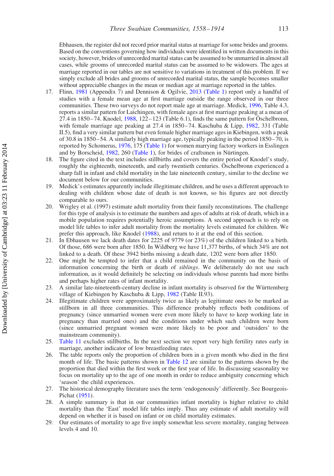Ebhausen, the register did not record prior marital status at marriage for some brides and grooms. Based on the conventions governing how individuals were identified in written documents in this society, however, brides of unrecorded marital status can be assumed to be unmarried in almost all cases, while grooms of unrecorded marital status can be assumed to be widowers. The ages at marriage reported in our tables are not sensitive to variations in treatment of this problem. If we simply exclude all brides and grooms of unrecorded marital status, the sample becomes smaller without appreciable changes in the mean or median age at marriage reported in the tables.

- <span id="page-37-0"></span>17. Flinn, [1981](#page-39-10) (Appendix 7) and Dennison & Ogilvie, [2013](#page-39-11) ([Table 1\)](#page-8-0) report only a handful of studies with a female mean age at first marriage outside the range observed in our three communities. These two surveys do not report male age at marriage. Medick, [1996](#page-40-7), Table 4.3, reports a similar pattern for Laichingen, with female ages at first marriage peaking at a mean of  $27.4$  in  $1850-74$ . Knodel,  $1988$ ,  $122-123$  (Table 6.1), finds the same pattern for Öschelbronn, with female marriage age peaking at 27.4 in 1850–74. Kaschuba & Lipp, [1982,](#page-40-9) 331 (Table II.5), find a very similar pattern but even female higher marriage ages in Kiebingen, with a peak of 30.8 in 1850– 54. A similarly high marriage age, typically peaking in the period 1850– 70, is reported by Schomerus, [1976,](#page-41-0) 175 [\(Table 1](#page-8-0)) for women marrying factory workers in Esslingen and by Borscheid, [1982](#page-38-0), 260 [\(Table 1\)](#page-8-0), for brides of craftsmen in Nürtingen.
- <span id="page-37-1"></span>18. The figure cited in the text includes stillbirths and covers the entire period of Knodel's study, roughly the eighteenth, nineteenth, and early twentieth centuries. Oschelbronn experienced a sharp fall in infant and child mortality in the late nineteenth century, similar to the decline we document below for our communities.
- <span id="page-37-2"></span>19. Medick's estimates apparently include illegitimate children, and he uses a different approach to dealing with children whose date of death is not known, so his figures are not directly comparable to ours.
- <span id="page-37-3"></span>20. Wrigley et al. (1997) estimate adult mortality from their family reconstitutions. The challenge for this type of analysis is to estimate the numbers and ages of adults at risk of death, which in a mobile population requires potentially heroic assumptions. A second approach is to rely on model life tables to infer adult mortality from the mortality levels estimated for children. We prefer this approach, like Knodel ([1988](#page-40-5)), and return to it at the end of this section.
- <span id="page-37-4"></span>21. In Ebhausen we lack death dates for 2225 of 9779 (or 23%) of the children linked to a birth. Of those, 686 were born after 1850. In Wildberg we have 11,377 births, of which 34% are not linked to a death. Of these 3942 births missing a death date, 1202 were born after 1850.
- <span id="page-37-5"></span>22. One might be tempted to infer that a child remained in the community on the basis of information concerning the birth or death of siblings. We deliberately do not use such information, as it would definitely be selecting on individuals whose parents had more births and perhaps higher rates of infant mortality.
- <span id="page-37-6"></span>23. A similar late-nineteenth-century decline in infant mortality is observed for the Württemberg village of Kiebingen by Kaschuba & Lipp, [1982](#page-40-9) (Table II.93).
- <span id="page-37-7"></span>24. Illegitimate children were approximately twice as likely as legitimate ones to be marked as stillborn in all three communities. This difference probably reflects both conditions of pregnancy (since unmarried women were even more likely to have to keep working late in pregnancy than married ones) and the conditions under which such children were born (since unmarried pregnant women were more likely to be poor and 'outsiders' to the mainstream community).
- <span id="page-37-8"></span>25. [Table 11](#page-26-0) excludes stillbirths. In the next section we report very high fertility rates early in marriage, another indicator of low breastfeeding rates.
- <span id="page-37-9"></span>26. The table reports only the proportion of children born in a given month who died in the first month of life. The basic patterns shown in [Table 12](#page-27-0) are similar to the patterns shown by the proportion that died within the first week or the first year of life. In discussing seasonality we focus on mortality up to the age of one month in order to reduce ambiguity concerning which 'season' the child experiences.
- <span id="page-37-10"></span>27. The historical demography literature uses the term 'endogenously' differently. See Bourgeois-Pichat ([1951\)](#page-39-18).
- <span id="page-37-11"></span>28. A simple summary is that in our communities infant mortality is higher relative to child mortality than the 'East' model life tables imply. Thus any estimate of adult mortality will depend on whether it is based on infant or on child mortality estimates.
- <span id="page-37-12"></span>29. Our estimates of mortality to age five imply somewhat less severe mortality, ranging between levels 4 and 10.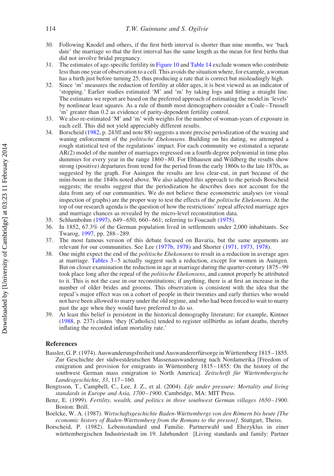- <span id="page-38-4"></span>30. Following Knodel and others, if the first birth interval is shorter than nine months, we 'back date' the marriage so that the first interval has the same length as the mean for first births that did not involve bridal pregnancy.
- <span id="page-38-5"></span>31. The estimates of age-specific fertility in [Figure 10](#page-29-0) and [Table 14](#page-31-0) exclude women who contribute less than one year of observation to a cell. This avoids the situation where, for example, a woman has a birth just before turning 25, thus producing a rate that is correct but misleadingly high.
- <span id="page-38-6"></span>32. Since 'm' measures the reduction of fertility at older ages, it is best viewed as an indicator of 'stopping.' Earlier studies estimated 'M' and 'm' by taking logs and fitting a straight line. The estimates we report are based on the preferred approach of estimating the model in 'levels' by nonlinear least squares. As a rule of thumb most demographers consider a Coale –Trussell 'm' greater than 0.2 as evidence of parity-dependent fertility control.
- <span id="page-38-7"></span>33. We also re-estimated 'M' and 'm' with weights for the number of woman-years of exposure in each cell. This did not yield appreciably different results.
- <span id="page-38-8"></span>34. Borscheid ([1982,](#page-38-0) p. 243ff and note 88) suggests a more precise periodization of the waxing and waning enforcement of the *politische Ehekonsens*. Building on his dating, we attempted a rough statistical test of the regulations' impact. For each community we estimated a separate AR(2) model of the number of marriages regressed on a fourth-degree polynomial in time plus dummies for every year in the range 1860– 80. For Ebhausen and Wildberg the results show strong (positive) departures from trend for the period from the early 1860s to the late 1870s, as suggested by the graph. For Auingen the results are less clear-cut, in part because of the mini-boom in the 1840s noted above. We also adapted this approach to the periods Borscheid suggests; the results suggest that the periodization he describes does not account for the data from any of our communities. We do not believe these econometric analyses (or visual inspection of graphs) are the proper way to test the effects of the *politische Ehekonsens*. At the top of our research agenda is the question of how the restrictions' repeal affected marriage ages and marriage chances as revealed by the micro-level reconstitution data.
- <span id="page-38-9"></span>35. Schlumbohm [\(1997\)](#page-41-14), 649– 650, 660– 661; referring to Foucault [\(1975](#page-39-19)).
- <span id="page-38-10"></span>36. In 1852, 67.3% of the German population lived in settlements under 2,000 inhabitants. See Twarog, [1997](#page-42-8), pp. 288-289.
- <span id="page-38-11"></span>37. The most famous version of this debate focused on Bavaria, but the same arguments are relevant for our communities. See Lee [\(1977b,](#page-40-17) [1978\)](#page-40-18) and Shorter [\(1971,](#page-41-15) [1973,](#page-41-16) [1978\)](#page-41-17).
- <span id="page-38-12"></span>38. One might expect the end of the politische Ehekonsens to result in a reduction in average ages at marriage. [Tables 3](#page-16-0)–5 actually suggest such a reduction, except for women in Auingen. But on closer examination the reduction in age at marriage during the quarter-century 1875– 99 took place long after the repeal of the politische Ehekonsens, and cannot properly be attributed to it. This is not the case in our reconstitutions; if anything, there is at first an increase in the number of older brides and grooms. This observation is consistent with the idea that the repeal's major effect was on a cohort of people in their twenties and early thirties who would not have been allowed to marry under the old regime, and who had been forced to wait to marry past the age when they would have preferred to do so.
- <span id="page-38-14"></span>39. At least this belief is persistent in the historical demography literature; for example, Kintner [\(1988](#page-40-19), p. 237) claims 'they [Catholics] tended to register stillbirths as infant deaths, thereby inflating the recorded infant mortality rate.'

### References

- <span id="page-38-3"></span>Bassler, G. P. (1974). Auswanderungsfreiheit und Auswandererfürsorge in Württemberg 1815–1855. Zur Geschichte der südwestdeutschen Massenauswanderung nach Nordamerika [Freedom of emigration and provision for emigrants in Württemberg 1815–1855: On the history of the southwest German mass emigration to North America]. Zeitschrift für Württembergische Landesgeschichte, 33, 117– 160.
- <span id="page-38-13"></span>Bengtsson, T., Campbell, C., Lee, J. Z., et al. (2004). Life under pressure: Mortality and living standards in Europe and Asia, 1700– 1900. Cambridge, MA: MIT Press.
- <span id="page-38-1"></span>Benz, E. (1999). Fertility, wealth, and politics in three southwest German villages 1650–1900. Boston: Brill.
- <span id="page-38-2"></span>Boelcke, W. A. (1987). Wirtschaftsgeschichte Baden-Württembergs von den Römern bis heute [The economic history of Baden-Württemberg from the Romans to the present]. Stuttgart, Theiss.
- <span id="page-38-0"></span>Borscheid, P. (1982). Lebensstandard und Familie. Partnerwahl und Ehezyklus in einer württembergischen Industriestadt im 19. Jahrhundert [Living standards and family: Partner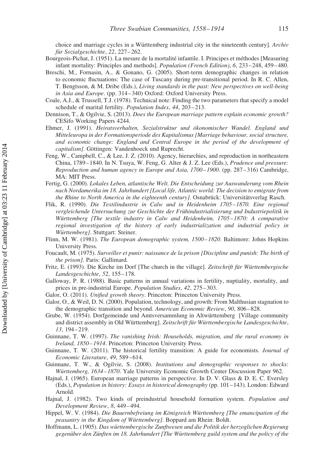choice and marriage cycles in a Württemberg industrial city in the nineteenth century]. Archiv für Sozialgeschichte, 22, 227–262.

- <span id="page-39-18"></span>Bourgeois-Pichat, J. (1951). La mesure de la mortalité infantile. I. Principes et méthodes [Measuring] infant mortality: Principles and methods]. Population (French Edition), 6, 233– 248, 459–480.
- Breschi, M., Fornasin, A., & Gonano, G. (2005). Short-term demographic changes in relation to economic fluctuations: The case of Tuscany during pre-transitional period. In R. C. Allen, T. Bengtsson, & M. Dribe (Eds.), Living standards in the past: New perspectives on well-being in Asia and Europe. (pp. 314–340) Oxford: Oxford University Press.
- Coale, A.J., & Trussell, T.J. (1978). Technical note: Finding the two parameters that specify a model schedule of marital fertility. Population Index, 44, 203-213.
- <span id="page-39-11"></span>Dennison, T., & Ogilvie, S. (2013). Does the European marriage pattern explain economic growth? CESifo Working Papers 4244.
- <span id="page-39-0"></span>Ehmer, J. (1991). Heiratsverhalten, Sozialstruktur und ökonomischer Wandel. England und Mitteleuropa in der Formationsperiode des Kapitalismus [Marriage behaviour, social structure, and economic change: England and Central Europe in the period of the development of capitalism]. Göttingen: Vandenhoeck und Ruprecht.
- <span id="page-39-12"></span>Feng, W., Campbell, C., & Lee, J. Z. (2010). Agency, hierarchies, and reproduction in northeastern China, 1789– 1840. In N. Tsuya, W. Feng, G. Alter & J. Z. Lee (Eds.), Prudence and pressure: Reproduction and human agency in Europe and Asia, 1700 –1900. (pp. 287– 316) Cambridge, MA: MIT Press.
- <span id="page-39-1"></span>Fertig, G. (2000). Lokales Leben, atlantische Welt. Die Entscheidung zur Auswanderung vom Rhein nach Nordamerika im 18. Jahrhundert [Local life, Atlantic world: The decision to emigrate from the Rhine to North America in the eighteenth century]. Osnabrück: Universitätsverlag Rasch.
- <span id="page-39-2"></span>Flik, R. (1990). Die Textilindustrie in Calw und in Heidenheim 1705– 1870. Eine regional vergleichende Untersuchung zur Geschichte der Frühindustrialisierung und Industriepolitik in Württemberg [The textile industry in Calw and Heidenheim, 1705–1870: A comparative regional investigation of the history of early industrialization and industrial policy in Württemberg]. Stuttgart: Steiner.
- <span id="page-39-10"></span>Flinn, M. W. (1981). The European demographic system, 1500– 1820. Baltimore: Johns Hopkins University Press.
- <span id="page-39-19"></span><span id="page-39-6"></span>Foucault, M. (1975). Surveiller et punir: naissance de la prison [Discipline and punish: The birth of the prison]. Paris: Gallimard.
- <span id="page-39-17"></span>Fritz, E. (1993). Die Kirche im Dorf [The church in the village]. Zeitschrift für Württembergische Landesgeschichte, 52, 155– 178.
- <span id="page-39-15"></span>Galloway, P. R. (1988). Basic patterns in annual variations in fertility, nuptiality, mortality, and prices in pre-industrial Europe. Population Studies, 42, 275– 303.
- <span id="page-39-14"></span>Galor, O. (2011). Unified growth theory. Princeton: Princeton University Press.
- <span id="page-39-4"></span>Galor, O., & Weil, D. N. (2000). Population, technology, and growth: From Malthusian stagnation to the demographic transition and beyond. American Economic Review, 90, 806–828.
- Grube, W. (1954). Dorfgemeinde und Amtsversammlung in Altwürttemberg [Village community and district assembly in Old Württemberg]. Zeitschrift für Württembergische Landesgeschichte, 13, 194– 219.
- <span id="page-39-16"></span><span id="page-39-13"></span>Guinnane, T. W. (1997). The vanishing Irish: Households, migration, and the rural economy in Ireland, 1850– 1914. Princeton: Princeton University Press.
- <span id="page-39-7"></span>Guinnane, T. W. (2011). The historical fertility transition: A guide for economists. Journal of Economic Literature, 49, 589-614.
- <span id="page-39-8"></span>Guinnane, T. W., & Ogilvie, S. (2008). Institutions and demographic responses to shocks: Württemberg, 1634–1870. Yale University Economic Growth Center Discussion Paper 962.
- <span id="page-39-9"></span>Hajnal, J. (1965). European marriage patterns in perspective. In D. V. Glass & D. E. C. Eversley (Eds.), Population in history: Essays in historical demography (pp. 101– 143). London: Edward Arnold.
- <span id="page-39-5"></span>Hajnal, J. (1982). Two kinds of preindustrial household formation system. *Population and* Development Review, 8, 449-494.
- <span id="page-39-3"></span>Hippel, W. V. (1984). Die Bauernbefreiung im Königreich Württemberg [The emancipation of the peasantry in the Kingdom of Württemberg]. Boppard am Rhein: Boldt.
- Hoffmann, L. (1905). Das württembergische Zunftwesen und die Politik der herzoglichen Regierung gegenüber den Zünften im 18. Jahrhundert [The Württemberg guild system and the policy of the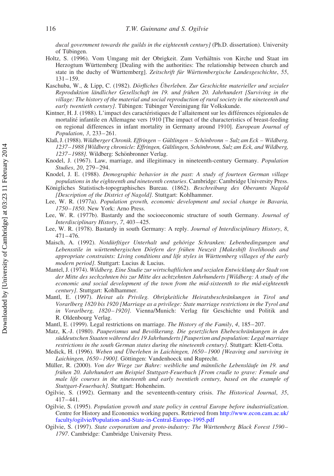ducal government towards the guilds in the eighteenth century] (Ph.D. dissertation). University of Tübingen.

- <span id="page-40-13"></span>Holtz, S. (1996). Vom Umgang mit der Obrigkeit. Zum Verhältnis von Kirche und Staat im Herzogtum Württemberg [Dealing with the authorities: The relationship between church and state in the duchy of Württemberg]. Zeitschrift für Württembergische Landesgeschichte, 55, 131– 159.
- <span id="page-40-9"></span>Kaschuba, W., & Lipp, C. (1982). Dörfliches Überleben. Zur Geschichte materieller und sozialer Reproduktion ländlicher Gesellschaft im 19. und frühen 20. Jahrhundert [Surviving in the village: The history of the material and social reproduction of rural society in the nineteenth and early twentieth century]. Tübingen: Tübinger Vereinigung für Volkskunde.
- <span id="page-40-19"></span>Kintner, H. J. (1988). L'impact des caractéristiques de l'allaitement sur les différences régionales de mortalité infantile en Allemagne vers 1910 [The impact of the characteristics of breast-feeding on regional differences in infant mortality in Germany around 1910]. European Journal of Population, 3, 233– 261.
- <span id="page-40-15"></span>Klaß, J. (1988). Wildberger Chronik. Effringen – Gültlingen – Schönbronn – Sulz am Eck – Wildberg, 1237–1988 [Wildberg chronicle: Effringen, Gültlingen, Schönbronn, Sulz am Eck, and Wildberg, 1237–1988]. Wildberg: Schönbronner Verlag.
- <span id="page-40-0"></span>Knodel, J. (1967). Law, marriage, and illegitimacy in nineteenth-century Germany. Population Studies, 20, 279-294.
- <span id="page-40-5"></span>Knodel, J. E. (1988). Demographic behavior in the past: A study of fourteen German village populations in the eighteenth and nineteenth centuries. Cambridge: Cambridge University Press.
- <span id="page-40-16"></span>Königliches Statistisch-topographisches Bureau. (1862). Beschreibung des Oberamts Nagold [Description of the District of Nagold]. Stuttgart: Kohlhammer.
- <span id="page-40-10"></span>Lee, W. R. (1977a). Population growth, economic development and social change in Bavaria, 1750– 1850. New York: Arno Press.
- <span id="page-40-17"></span>Lee, W. R. (1977b). Bastardy and the socioeconomic structure of south Germany. Journal of Interdisciplinary History, 7, 403-425.
- <span id="page-40-18"></span>Lee, W. R. (1978). Bastardy in south Germany: A reply. Journal of Interdisciplinary History, 8,  $471 - 476$ .
- <span id="page-40-6"></span>Maisch, A. (1992). Notdürftiger Unterhalt und gehörige Schranken: Lebenbedingungen und Lebensstile in württembergischen Dörfern der frühen Neuzeit [Makeshift livelihoods and appropriate constraints: Living conditions and life styles in Württemberg villages of the early modern period]. Stuttgart: Lucius & Lucius.
- <span id="page-40-14"></span>Mantel, J. (1974). Wildberg. Eine Studie zur wirtschaftlichen und sozialen Entwicklung der Stadt von der Mitte des sechzehnten bis zur Mitte des achtzehnten Jahrhunderts [Wildberg: A study of the economic and social development of the town from the mid-sixteenth to the mid-eighteenth century]. Stuttgart: Kohlhammer.
- <span id="page-40-2"></span>Mantl, E. (1997). Heirat als Privileg. Obrigkeitliche Heiratsbeschränkungen in Tirol und Vorarlberg 1820 bis 1920 [Marriage as a privilege: State marriage restrictions in the Tyrol and in Vorarlberg, 1820-1920]. Vienna/Munich: Verlag für Geschichte und Politik and R. Oldenbourg Verlag.
- <span id="page-40-3"></span><span id="page-40-1"></span>Mantl, E. (1999). Legal restrictions on marriage. The History of the Family, 4, 185–207.
- Matz, K.-J. (1980). Pauperismus und Bevölkerung. Die gesetzlichen Ehebeschränkungen in den süddeutschen Staaten während des 19 Jahrhunderts [Pauperism and population: Legal marriage restrictions in the south German states during the nineteenth century]. Stuttgart: Klett-Cotta.
- <span id="page-40-7"></span>Medick, H. (1996). Weben und Überleben in Laichingen,  $1650-1900$  [Weaving and surviving in Laichingen, 1650–1900]. Göttingen: Vandenhoeck und Ruprecht.
- <span id="page-40-8"></span>Müller, R. (2000). Von der Wiege zur Bahre: weibliche und männliche Lebensläufe im 19. und frühen 20. Jahrhundert am Beispiel Stuttgart-Feuerbach [From cradle to grave: Female and male life courses in the nineteenth and early twentieth century, based on the example of Stuttgart-Feuerbach]. Stuttgart: Hohenheim.
- <span id="page-40-12"></span>Ogilvie, S. (1992). Germany and the seventeenth-century crisis. The Historical Journal, 35,  $417 - 441$ .
- <span id="page-40-4"></span>Ogilvie, S. (1995). Population growth and state policy in central Europe before industrialization. Centre for History and Economics working papers. Retrieved from [http://www.econ.cam.ac.uk/](http://www.econ.cam.ac.uk/faculty/ogilvie/Population-and-State-in-Central-Europe-1995.pdf) [faculty/ogilvie/Population-and-State-in-Central-Europe-1995.pdf](http://www.econ.cam.ac.uk/faculty/ogilvie/Population-and-State-in-Central-Europe-1995.pdf)
- <span id="page-40-11"></span>Ogilvie, S. (1997). State corporatism and proto-industry: The Württemberg Black Forest 1590– 1797. Cambridge: Cambridge University Press.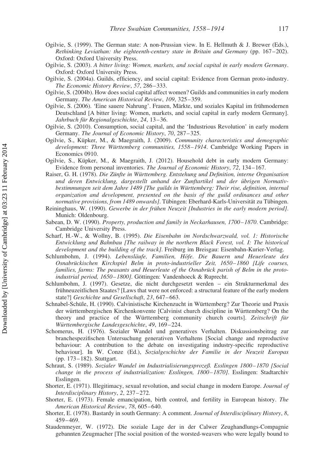- <span id="page-41-4"></span>Ogilvie, S. (1999). The German state: A non-Prussian view. In E. Hellmuth & J. Brewer (Eds.), Rethinking Leviathan: the eighteenth-century state in Britain and Germany (pp. 167–202). Oxford: Oxford University Press.
- <span id="page-41-1"></span>Ogilvie, S. (2003). A bitter living: Women, markets, and social capital in early modern Germany. Oxford: Oxford University Press.
- <span id="page-41-11"></span>Ogilvie, S. (2004a). Guilds, efficiency, and social capital: Evidence from German proto-industry. The Economic History Review, 57, 286-333.
- <span id="page-41-12"></span>Ogilvie, S. (2004b). How does social capital affect women? Guilds and communities in early modern Germany. The American Historical Review, 109, 325– 359.
- Ogilvie, S. (2006). 'Eine sauere Nahrung'. Frauen, Märkte, und soziales Kapital im frühmodernen Deutschland [A bitter living: Women, markets, and social capital in early modern Germany]. Jahrbuch für Regionalgeschichte, 24, 13-36.
- Ogilvie, S. (2010). Consumption, social capital, and the 'Industrious Revolution' in early modern Germany. The Journal of Economic History, 70, 287-325.
- <span id="page-41-6"></span>Ogilvie, S., Küpker, M., & Maegraith, J. (2009). Community characteristics and demographic development: Three Württemberg communities, 1558–1914. Cambridge Working Papers in Economics 0910.
- <span id="page-41-8"></span>Ogilvie, S., Küpker, M., & Maegraith, J. (2012). Household debt in early modern Germany: Evidence from personal inventories. The Journal of Economic History, 72, 134– 167.
- <span id="page-41-9"></span>Raiser, G. H. (1978). Die Zünfte in Württemberg. Entstehung und Definition, interne Organisation und deren Entwicklung, dargestellt anhand der Zunftartikel und der übrigen Normativbestimmungen seit dem Jahre 1489 [The guilds in Württemberg: Their rise, definition, internal organization and development, presented on the basis of the guild ordinances and other normative provisions, from 1489 onwards]. Tübingen: Eberhard-Karls-Universität zu Tübingen.
- <span id="page-41-5"></span>Reininghaus, W. (1990). Gewerbe in der frühen Neuzeit [Industries in the early modern period]. Munich: Oldenbourg.
- <span id="page-41-7"></span>Sabean, D. W. (1990). Property, production and family in Neckarhausen, 1700– 1870. Cambridge: Cambridge University Press.
- <span id="page-41-13"></span>Scharf, H.-W., & Wollny, B. (1995). Die Eisenbahn im Nordschwarzwald, vol. 1: Historische Entwicklung und Bahnbau [The railway in the northern Black Forest, vol. I: The historical development and the building of the track]. Freiburg im Breisgau: Eisenbahn-Kurier-Verlag.
- <span id="page-41-3"></span>Schlumbohm, J. (1994). Lebensläufe, Familien, Höfe. Die Bauern und Heuerleute des Osnabrückischen Kirchspiel Belm in proto-industrieller Zeit, 1650–1860 [Life courses, families, farms: The peasants and Heuerleute of the Osnabrück parish of Belm in the protoindustrial period, 1650–1800]. Göttingen: Vandenhoeck & Ruprecht.
- <span id="page-41-14"></span>Schlumbohm, J. (1997). Gesetze, die nicht durchgesetzt werden – ein Strukturmerkmal des frühneuzeitlichen Staates? [Laws that were not enforced: a structural feature of the early modern state?] Geschichte und Gesellschaft, 23, 647-663.
- Schnabel-Schüle, H. (1990). Calvinistische Kirchenzucht in Württemberg? Zur Theorie und Praxis der württembergischen Kirchenkonvente [Calvinist church discipline in Württemberg? On the theory and practice of the Württemberg community church courts]. Zeitschrift für Württembergische Landesgeschichte, 49, 169–224.
- <span id="page-41-0"></span>Schomerus, H. (1976). Sozialer Wandel und generatives Verhalten. Diskussionsbeitrag zur branchespezifischen Untersuchung generativen Verhaltens [Social change and reproductive behaviour: A contribution to the debate on investigating industry-specific reproductive behaviour]. In W. Conze (Ed.), Sozialgeschichte der Familie in der Neuzeit Europas (pp. 173– 182). Stuttgart.
- <span id="page-41-2"></span>Schraut, S. (1989). Sozialer Wandel im Industrialisierungsprozeß. Esslingen 1800 –1870 [Social change in the process of industrialization: Esslingen, 1800– 1870]. Esslingen: Stadtarchiv Esslingen.
- <span id="page-41-15"></span>Shorter, E. (1971). Illegitimacy, sexual revolution, and social change in modern Europe. Journal of Interdisciplinary History, 2, 237–272.
- <span id="page-41-16"></span>Shorter, E. (1973). Female emancipation, birth control, and fertility in European history. The American Historical Review, 78, 605-640.
- <span id="page-41-17"></span>Shorter, E. (1978). Bastardy in south Germany: A comment. Journal of Interdisciplinary History, 8, 459– 469.
- <span id="page-41-10"></span>Staudenmeyer, W. (1972). Die soziale Lage der in der Calwer Zeughandlungs-Compagnie gebannten Zeugmacher [The social position of the worsted-weavers who were legally bound to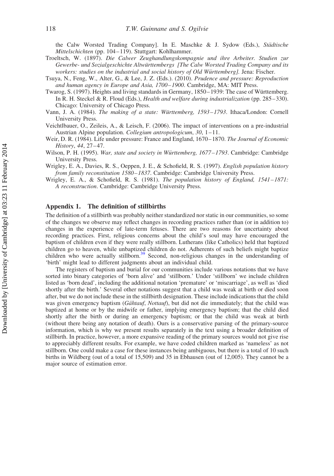the Calw Worsted Trading Company]. In E. Maschke & J. Sydow (Eds.), Städtische Mittelschichten (pp. 104– 119). Stuttgart: Kohlhammer.

- <span id="page-42-2"></span>Troeltsch, W. (1897). Die Calwer Zeughandlungskompagnie und ihre Arbeiter. Studien zur Gewerbe- und Sozialgeschichte Altwürttembergs [The Calw Worsted Trading Company and its workers: studies on the industrial and social history of Old Württemberg]. Jena: Fischer.
- <span id="page-42-6"></span>Tsuya, N., Feng, W., Alter, G., & Lee, J. Z. (Eds.). (2010). Prudence and pressure: Reproduction and human agency in Europe and Asia, 1700– 1900. Cambridge, MA: MIT Press.
- <span id="page-42-8"></span>Twarog, S. (1997). Heights and living standards in Germany, 1850–1939: The case of Württemberg. In R. H. Steckel & R. Floud (Eds.), *Health and welfare during industrialization* (pp. 285–330). Chicago: University of Chicago Press.
- <span id="page-42-0"></span>Vann, J. A. (1984). The making of a state: Württemberg, 1593–1793. Ithaca/London: Cornell University Press.
- <span id="page-42-4"></span>Veichtlbauer, O., Zeileis, A., & Leisch, F. (2006). The impact of interventions on a pre-industrial Austrian Alpine population. Collegium antropologicum, 30, 1-11.
- <span id="page-42-5"></span>Weir, D. R. (1984). Life under pressure: France and England, 1670–1870. The Journal of Economic History, 44, 27-47.
- <span id="page-42-1"></span>Wilson, P. H. (1995). War, state and society in Württemberg, 1677–1793. Cambridge: Cambridge University Press.
- <span id="page-42-3"></span>Wrigley, E. A., Davies, R. S., Oeppen, J. E., & Schofield, R. S. (1997). English population history from family reconstitution 1580-1837. Cambridge: Cambridge University Press.
- <span id="page-42-7"></span>Wrigley, E. A., & Schofield, R. S. (1981). The population history of England, 1541– 1871: A reconstruction. Cambridge: Cambridge University Press.

# Appendix 1. The definition of stillbirths

The definition of a stillbirth was probably neither standardized nor static in our communities, so some of the changes we observe may reflect changes in recording practices rather than (or in addition to) changes in the experience of late-term fetuses. There are two reasons for uncertainty about recording practices. First, religious concerns about the child's soul may have encouraged the baptism of children even if they were really stillborn. Lutherans (like Catholics) held that baptized children go to heaven, while unbaptized children do not. Adherents of such beliefs might baptize children who were actually stillborn.<sup>39</sup> Second, non-religious changes in the understanding of 'birth' might lead to different judgments about an individual child.

The registers of baptism and burial for our communities include various notations that we have sorted into binary categories of 'born alive' and 'stillborn.' Under 'stillborn' we include children listed as 'born dead', including the additional notation 'premature' or 'miscarriage', as well as 'died shortly after the birth.' Several other notations suggest that a child was weak at birth or died soon after, but we do not include these in the stillbirth designation. These include indications that the child was given emergency baptism (Gähtauf, Nottauf), but did not die immediately; that the child was baptized at home or by the midwife or father, implying emergency baptism; that the child died shortly after the birth or during an emergency baptism; or that the child was weak at birth (without there being any notation of death). Ours is a conservative parsing of the primary-source information, which is why we present results separately in the text using a broader definition of stillbirth. In practice, however, a more expansive reading of the primary sources would not give rise to appreciably different results. For example, we have coded children marked as 'nameless' as not stillborn. One could make a case for these instances being ambiguous, but there is a total of 10 such births in Wildberg (out of a total of 15,509) and 35 in Ebhausen (out of 12,005). They cannot be a major source of estimation error.